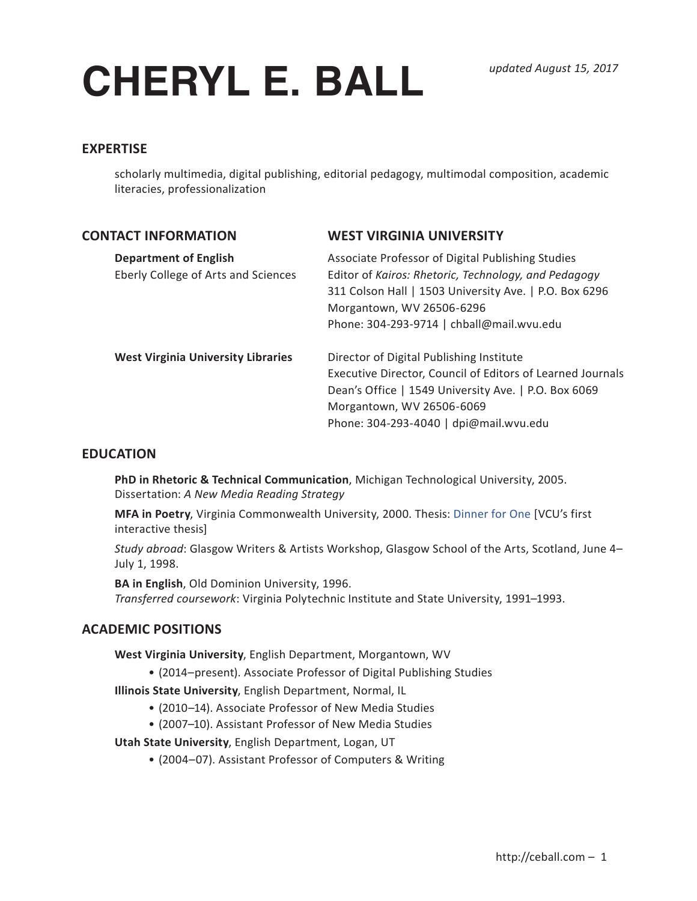# **CHERYL E. BALL**

# **EXPERTISE**

scholarly multimedia, digital publishing, editorial pedagogy, multimodal composition, academic literacies, professionalization

| <b>CONTACT INFORMATION</b>                                          | <b>WEST VIRGINIA UNIVERSITY</b>                                                                                                                                                                                                               |
|---------------------------------------------------------------------|-----------------------------------------------------------------------------------------------------------------------------------------------------------------------------------------------------------------------------------------------|
| <b>Department of English</b><br>Eberly College of Arts and Sciences | Associate Professor of Digital Publishing Studies<br>Editor of Kairos: Rhetoric, Technology, and Pedagogy<br>311 Colson Hall   1503 University Ave.   P.O. Box 6296<br>Morgantown, WV 26506-6296<br>Phone: 304-293-9714   chball@mail.wvu.edu |
| <b>West Virginia University Libraries</b>                           | Director of Digital Publishing Institute<br>Executive Director, Council of Editors of Learned Journals<br>Dean's Office   1549 University Ave.   P.O. Box 6069<br>Morgantown, WV 26506-6069<br>Phone: 304-293-4040   dpi@mail.wvu.edu         |

# **EDUCATION**

**PhD in Rhetoric & Technical Communication**, Michigan Technological University, 2005. Dissertation: *A New Media Reading Strategy*

**MFA in Poetry**, Virginia Commonwealth University, 2000. Thesis: Dinner for One [VCU's first interactive thesis]

*Study abroad*: Glasgow Writers & Artists Workshop, Glasgow School of the Arts, Scotland, June 4– July 1, 1998.

**BA in English**, Old Dominion University, 1996. *Transferred coursework*: Virginia Polytechnic Institute and State University, 1991–1993.

# **ACADEMIC POSITIONS**

**West Virginia University**, English Department, Morgantown, WV

- (2014–present). Associate Professor of Digital Publishing Studies
- **Illinois State University**, English Department, Normal, IL
	- (2010–14). Associate Professor of New Media Studies
	- (2007–10). Assistant Professor of New Media Studies

**Utah State University**, English Department, Logan, UT

• (2004–07). Assistant Professor of Computers & Writing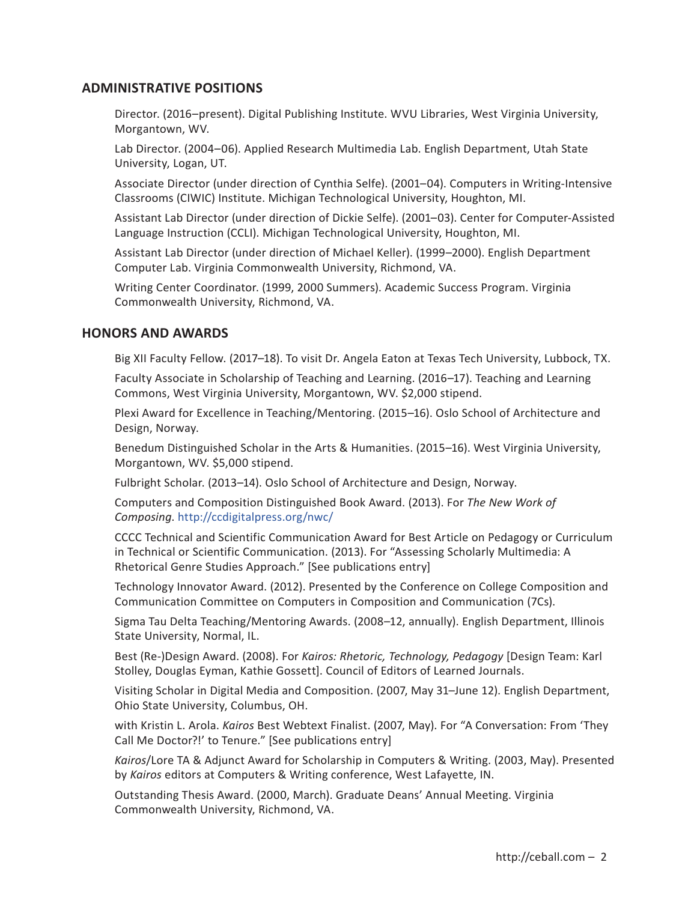# **ADMINISTRATIVE POSITIONS**

Director. (2016–present). Digital Publishing Institute. WVU Libraries, West Virginia University, Morgantown, WV.

Lab Director. (2004–06). Applied Research Multimedia Lab. English Department, Utah State University, Logan, UT.

Associate Director (under direction of Cynthia Selfe). (2001–04). Computers in Writing-Intensive Classrooms (CIWIC) Institute. Michigan Technological University, Houghton, MI.

Assistant Lab Director (under direction of Dickie Selfe). (2001–03). Center for Computer-Assisted Language Instruction (CCLI). Michigan Technological University, Houghton, MI.

Assistant Lab Director (under direction of Michael Keller). (1999–2000). English Department Computer Lab. Virginia Commonwealth University, Richmond, VA.

Writing Center Coordinator. (1999, 2000 Summers). Academic Success Program. Virginia Commonwealth University, Richmond, VA.

# **HONORS AND AWARDS**

Big XII Faculty Fellow. (2017–18). To visit Dr. Angela Eaton at Texas Tech University, Lubbock, TX.

Faculty Associate in Scholarship of Teaching and Learning. (2016–17). Teaching and Learning Commons, West Virginia University, Morgantown, WV. \$2,000 stipend.

Plexi Award for Excellence in Teaching/Mentoring. (2015–16). Oslo School of Architecture and Design, Norway.

Benedum Distinguished Scholar in the Arts & Humanities. (2015–16). West Virginia University, Morgantown, WV. \$5,000 stipend.

Fulbright Scholar. (2013–14). Oslo School of Architecture and Design, Norway.

Computers and Composition Distinguished Book Award. (2013). For *The New Work of Composing*. http://ccdigitalpress.org/nwc/

CCCC Technical and Scientific Communication Award for Best Article on Pedagogy or Curriculum in Technical or Scientific Communication. (2013). For "Assessing Scholarly Multimedia: A Rhetorical Genre Studies Approach." [See publications entry]

Technology Innovator Award. (2012). Presented by the Conference on College Composition and Communication Committee on Computers in Composition and Communication (7Cs).

Sigma Tau Delta Teaching/Mentoring Awards. (2008–12, annually). English Department, Illinois State University, Normal, IL.

Best (Re-)Design Award. (2008). For *Kairos: Rhetoric, Technology, Pedagogy* [Design Team: Karl Stolley, Douglas Eyman, Kathie Gossett]. Council of Editors of Learned Journals.

Visiting Scholar in Digital Media and Composition. (2007, May 31–June 12). English Department, Ohio State University, Columbus, OH.

with Kristin L. Arola. *Kairos* Best Webtext Finalist. (2007, May). For "A Conversation: From 'They Call Me Doctor?!' to Tenure." [See publications entry]

*Kairos*/Lore TA & Adjunct Award for Scholarship in Computers & Writing. (2003, May). Presented by *Kairos* editors at Computers & Writing conference, West Lafayette, IN.

Outstanding Thesis Award. (2000, March). Graduate Deans' Annual Meeting. Virginia Commonwealth University, Richmond, VA.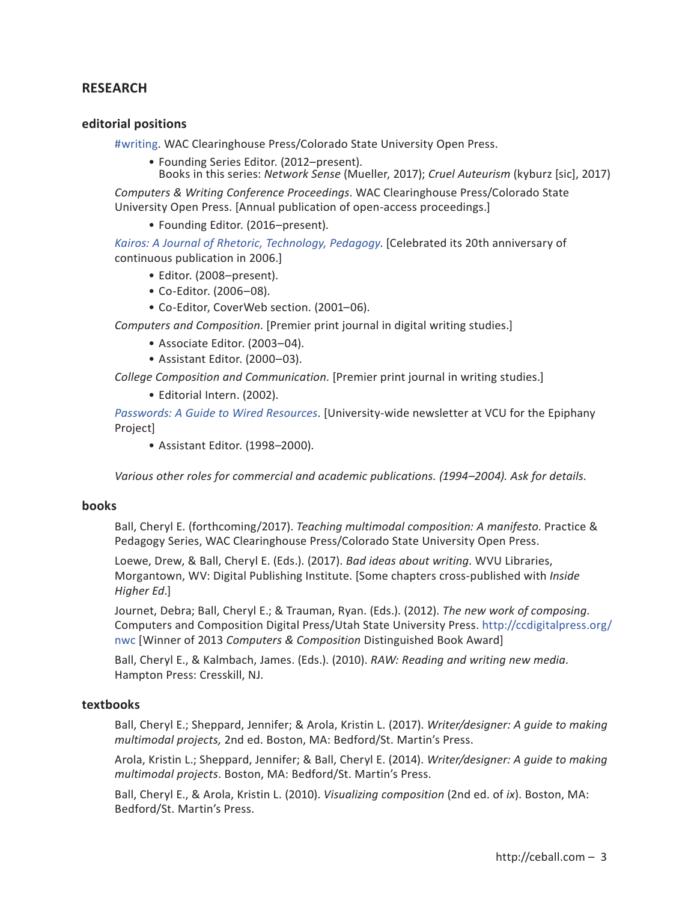# **RESEARCH**

## **editorial positions**

#writing. WAC Clearinghouse Press/Colorado State University Open Press.

- Founding Series Editor. (2012–present).
	- Books in this series: *Network Sense* (Mueller, 2017); *Cruel Auteurism* (kyburz [sic], 2017)

*Computers & Writing Conference Proceedings*. WAC Clearinghouse Press/Colorado State University Open Press. [Annual publication of open-access proceedings.]

• Founding Editor. (2016–present).

*Kairos: A Journal of Rhetoric, Technology, Pedagogy*. [Celebrated its 20th anniversary of continuous publication in 2006.]

- Editor. (2008–present).
- Co-Editor. (2006–08).
- Co-Editor, CoverWeb section. (2001–06).

*Computers and Composition*. [Premier print journal in digital writing studies.]

- Associate Editor. (2003–04).
- Assistant Editor. (2000–03).

*College Composition and Communication*. [Premier print journal in writing studies.]

• Editorial Intern. (2002).

*Passwords: A Guide to Wired Resources*. [University-wide newsletter at VCU for the Epiphany Project]

• Assistant Editor. (1998–2000).

*Various other roles for commercial and academic publications. (1994–2004). Ask for details.*

#### **books**

Ball, Cheryl E. (forthcoming/2017). *Teaching multimodal composition: A manifesto*. Practice & Pedagogy Series, WAC Clearinghouse Press/Colorado State University Open Press.

Loewe, Drew, & Ball, Cheryl E. (Eds.). (2017). *Bad ideas about writing*. WVU Libraries, Morgantown, WV: Digital Publishing Institute. [Some chapters cross-published with *Inside Higher Ed*.]

Journet, Debra; Ball, Cheryl E.; & Trauman, Ryan. (Eds.). (2012). *The new work of composing*. Computers and Composition Digital Press/Utah State University Press. http://ccdigitalpress.org/ nwc [Winner of 2013 *Computers & Composition* Distinguished Book Award]

Ball, Cheryl E., & Kalmbach, James. (Eds.). (2010). *RAW: Reading and writing new media*. Hampton Press: Cresskill, NJ.

## **textbooks**

Ball, Cheryl E.; Sheppard, Jennifer; & Arola, Kristin L. (2017). *Writer/designer: A guide to making multimodal projects,* 2nd ed. Boston, MA: Bedford/St. Martin's Press.

Arola, Kristin L.; Sheppard, Jennifer; & Ball, Cheryl E. (2014). *Writer/designer: A guide to making multimodal projects*. Boston, MA: Bedford/St. Martin's Press.

Ball, Cheryl E., & Arola, Kristin L. (2010). *Visualizing composition* (2nd ed. of *ix*). Boston, MA: Bedford/St. Martin's Press.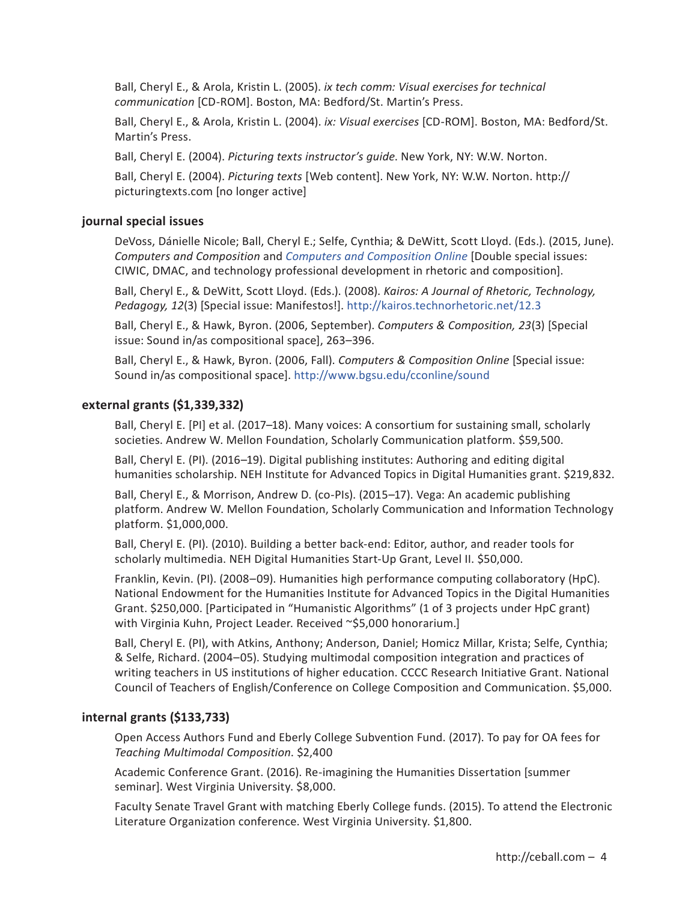Ball, Cheryl E., & Arola, Kristin L. (2005). *ix tech comm: Visual exercises for technical communication* [CD-ROM]. Boston, MA: Bedford/St. Martin's Press.

Ball, Cheryl E., & Arola, Kristin L. (2004). *ix: Visual exercises* [CD-ROM]. Boston, MA: Bedford/St. Martin's Press.

Ball, Cheryl E. (2004). *Picturing texts instructor's guide*. New York, NY: W.W. Norton.

Ball, Cheryl E. (2004). *Picturing texts* [Web content]. New York, NY: W.W. Norton. http:// picturingtexts.com [no longer active]

# **journal special issues**

DeVoss, Dánielle Nicole; Ball, Cheryl E.; Selfe, Cynthia; & DeWitt, Scott Lloyd. (Eds.). (2015, June). *Computers and Composition* and *Computers and Composition Online* [Double special issues: CIWIC, DMAC, and technology professional development in rhetoric and composition].

Ball, Cheryl E., & DeWitt, Scott Lloyd. (Eds.). (2008). *Kairos: A Journal of Rhetoric, Technology, Pedagogy, 12*(3) [Special issue: Manifestos!]. http://kairos.technorhetoric.net/12.3

Ball, Cheryl E., & Hawk, Byron. (2006, September). *Computers & Composition, 23*(3) [Special issue: Sound in/as compositional space], 263–396.

Ball, Cheryl E., & Hawk, Byron. (2006, Fall). *Computers & Composition Online* [Special issue: Sound in/as compositional space]. http://www.bgsu.edu/cconline/sound

# **external grants (\$1,339,332)**

Ball, Cheryl E. [PI] et al. (2017–18). Many voices: A consortium for sustaining small, scholarly societies. Andrew W. Mellon Foundation, Scholarly Communication platform. \$59,500.

Ball, Cheryl E. (PI). (2016–19). Digital publishing institutes: Authoring and editing digital humanities scholarship. NEH Institute for Advanced Topics in Digital Humanities grant. \$219,832.

Ball, Cheryl E., & Morrison, Andrew D. (co-PIs). (2015–17). Vega: An academic publishing platform. Andrew W. Mellon Foundation, Scholarly Communication and Information Technology platform. \$1,000,000.

Ball, Cheryl E. (PI). (2010). Building a better back-end: Editor, author, and reader tools for scholarly multimedia. NEH Digital Humanities Start-Up Grant, Level II. \$50,000.

Franklin, Kevin. (PI). (2008–09). Humanities high performance computing collaboratory (HpC). National Endowment for the Humanities Institute for Advanced Topics in the Digital Humanities Grant. \$250,000. [Participated in "Humanistic Algorithms" (1 of 3 projects under HpC grant) with Virginia Kuhn, Project Leader. Received ~\$5,000 honorarium.]

Ball, Cheryl E. (PI), with Atkins, Anthony; Anderson, Daniel; Homicz Millar, Krista; Selfe, Cynthia; & Selfe, Richard. (2004–05). Studying multimodal composition integration and practices of writing teachers in US institutions of higher education. CCCC Research Initiative Grant. National Council of Teachers of English/Conference on College Composition and Communication. \$5,000.

# **internal grants (\$133,733)**

Open Access Authors Fund and Eberly College Subvention Fund. (2017). To pay for OA fees for *Teaching Multimodal Composition*. \$2,400

Academic Conference Grant. (2016). Re-imagining the Humanities Dissertation [summer seminar]. West Virginia University. \$8,000.

Faculty Senate Travel Grant with matching Eberly College funds. (2015). To attend the Electronic Literature Organization conference. West Virginia University. \$1,800.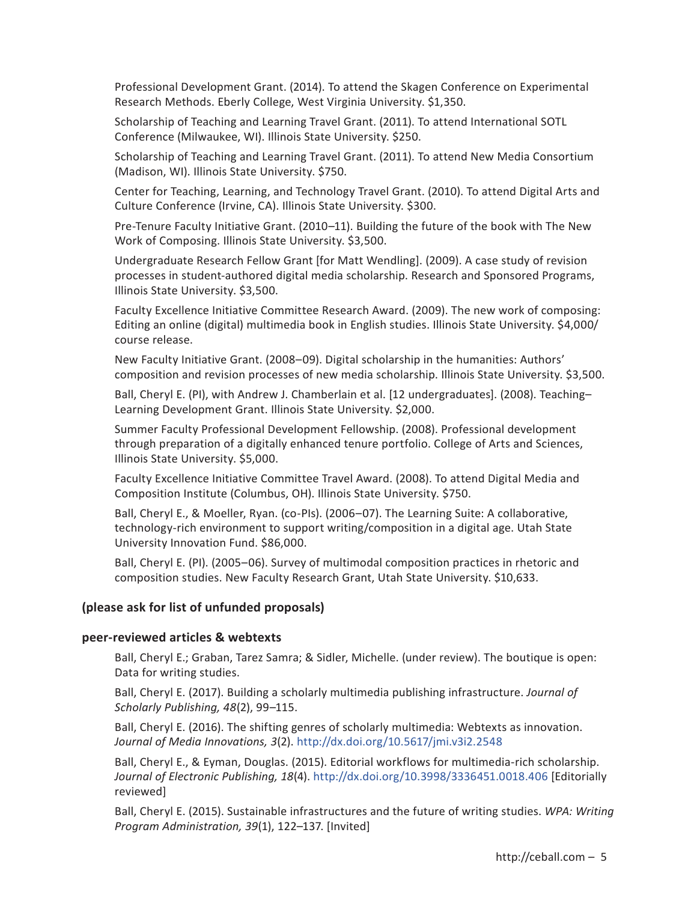Professional Development Grant. (2014). To attend the Skagen Conference on Experimental Research Methods. Eberly College, West Virginia University. \$1,350.

Scholarship of Teaching and Learning Travel Grant. (2011). To attend International SOTL Conference (Milwaukee, WI). Illinois State University. \$250.

Scholarship of Teaching and Learning Travel Grant. (2011). To attend New Media Consortium (Madison, WI). Illinois State University. \$750.

Center for Teaching, Learning, and Technology Travel Grant. (2010). To attend Digital Arts and Culture Conference (Irvine, CA). Illinois State University. \$300.

Pre-Tenure Faculty Initiative Grant. (2010–11). Building the future of the book with The New Work of Composing. Illinois State University. \$3,500.

Undergraduate Research Fellow Grant [for Matt Wendling]. (2009). A case study of revision processes in student-authored digital media scholarship. Research and Sponsored Programs, Illinois State University. \$3,500.

Faculty Excellence Initiative Committee Research Award. (2009). The new work of composing: Editing an online (digital) multimedia book in English studies. Illinois State University. \$4,000/ course release.

New Faculty Initiative Grant. (2008–09). Digital scholarship in the humanities: Authors' composition and revision processes of new media scholarship. Illinois State University. \$3,500.

Ball, Cheryl E. (PI), with Andrew J. Chamberlain et al. [12 undergraduates]. (2008). Teaching– Learning Development Grant. Illinois State University. \$2,000.

Summer Faculty Professional Development Fellowship. (2008). Professional development through preparation of a digitally enhanced tenure portfolio. College of Arts and Sciences, Illinois State University. \$5,000.

Faculty Excellence Initiative Committee Travel Award. (2008). To attend Digital Media and Composition Institute (Columbus, OH). Illinois State University. \$750.

Ball, Cheryl E., & Moeller, Ryan. (co-PIs). (2006–07). The Learning Suite: A collaborative, technology-rich environment to support writing/composition in a digital age. Utah State University Innovation Fund. \$86,000.

Ball, Cheryl E. (PI). (2005–06). Survey of multimodal composition practices in rhetoric and composition studies. New Faculty Research Grant, Utah State University. \$10,633.

# **(please ask for list of unfunded proposals)**

#### **peer-reviewed articles & webtexts**

Ball, Cheryl E.; Graban, Tarez Samra; & Sidler, Michelle. (under review). The boutique is open: Data for writing studies.

Ball, Cheryl E. (2017). Building a scholarly multimedia publishing infrastructure. *Journal of Scholarly Publishing, 48*(2), 99–115.

Ball, Cheryl E. (2016). The shifting genres of scholarly multimedia: Webtexts as innovation. *Journal of Media Innovations, 3*(2). http://dx.doi.org/10.5617/jmi.v3i2.2548

Ball, Cheryl E., & Eyman, Douglas. (2015). Editorial workflows for multimedia-rich scholarship. *Journal of Electronic Publishing, 18*(4). http://dx.doi.org/10.3998/3336451.0018.406 [Editorially reviewed]

Ball, Cheryl E. (2015). Sustainable infrastructures and the future of writing studies. *WPA: Writing Program Administration, 39*(1), 122–137. [Invited]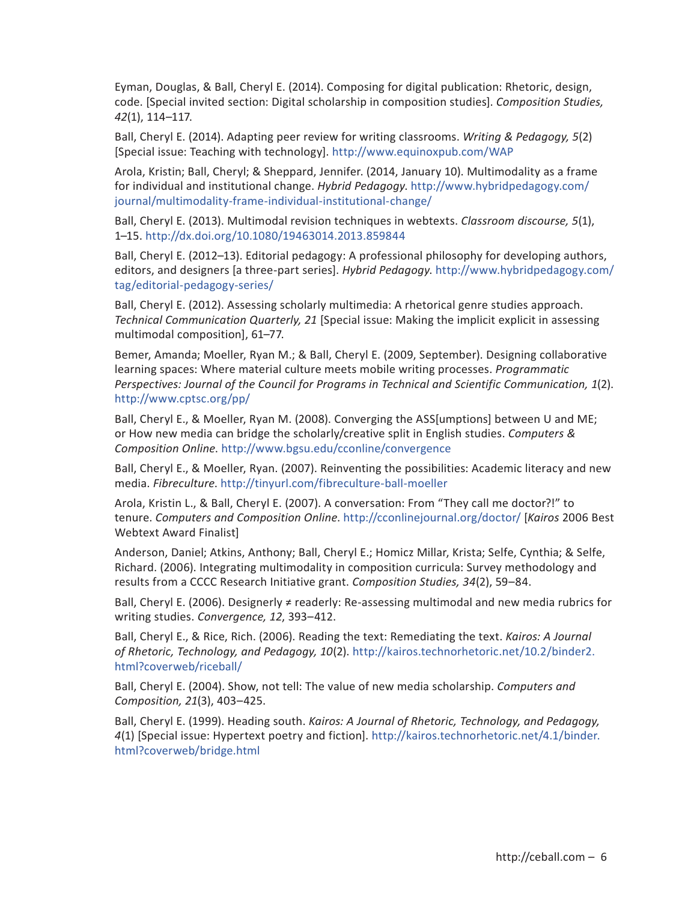Eyman, Douglas, & Ball, Cheryl E. (2014). Composing for digital publication: Rhetoric, design, code. [Special invited section: Digital scholarship in composition studies]. *Composition Studies, 42*(1), 114–117.

Ball, Cheryl E. (2014). Adapting peer review for writing classrooms. *Writing & Pedagogy, 5*(2) [Special issue: Teaching with technology]. http://www.equinoxpub.com/WAP

Arola, Kristin; Ball, Cheryl; & Sheppard, Jennifer. (2014, January 10). Multimodality as a frame for individual and institutional change. *Hybrid Pedagogy*. http://www.hybridpedagogy.com/ journal/multimodality-frame-individual-institutional-change/

Ball, Cheryl E. (2013). Multimodal revision techniques in webtexts. *Classroom discourse, 5*(1), 1–15. http://dx.doi.org/10.1080/19463014.2013.859844

Ball, Cheryl E. (2012–13). Editorial pedagogy: A professional philosophy for developing authors, editors, and designers [a three-part series]. *Hybrid Pedagogy*. http://www.hybridpedagogy.com/ tag/editorial-pedagogy-series/

Ball, Cheryl E. (2012). Assessing scholarly multimedia: A rhetorical genre studies approach. *Technical Communication Quarterly, 21* [Special issue: Making the implicit explicit in assessing multimodal composition], 61–77.

Bemer, Amanda; Moeller, Ryan M.; & Ball, Cheryl E. (2009, September). Designing collaborative learning spaces: Where material culture meets mobile writing processes. *Programmatic Perspectives: Journal of the Council for Programs in Technical and Scientific Communication, 1*(2). http://www.cptsc.org/pp/

Ball, Cheryl E., & Moeller, Ryan M. (2008). Converging the ASS[umptions] between U and ME; or How new media can bridge the scholarly/creative split in English studies. *Computers & Composition Online*. http://www.bgsu.edu/cconline/convergence

Ball, Cheryl E., & Moeller, Ryan. (2007). Reinventing the possibilities: Academic literacy and new media. *Fibreculture*. http://tinyurl.com/fibreculture-ball-moeller

Arola, Kristin L., & Ball, Cheryl E. (2007). A conversation: From "They call me doctor?!" to tenure. *Computers and Composition Online*. http://cconlinejournal.org/doctor/ [*Kairos* 2006 Best Webtext Award Finalist]

Anderson, Daniel; Atkins, Anthony; Ball, Cheryl E.; Homicz Millar, Krista; Selfe, Cynthia; & Selfe, Richard. (2006). Integrating multimodality in composition curricula: Survey methodology and results from a CCCC Research Initiative grant. *Composition Studies, 34*(2), 59–84.

Ball, Cheryl E. (2006). Designerly ≠ readerly: Re-assessing multimodal and new media rubrics for writing studies. *Convergence, 12*, 393–412.

Ball, Cheryl E., & Rice, Rich. (2006). Reading the text: Remediating the text. *Kairos: A Journal of Rhetoric, Technology, and Pedagogy, 10*(2). http://kairos.technorhetoric.net/10.2/binder2. html?coverweb/riceball/

Ball, Cheryl E. (2004). Show, not tell: The value of new media scholarship. *Computers and Composition, 21*(3), 403–425.

Ball, Cheryl E. (1999). Heading south. *Kairos: A Journal of Rhetoric, Technology, and Pedagogy, 4*(1) [Special issue: Hypertext poetry and fiction]. http://kairos.technorhetoric.net/4.1/binder. html?coverweb/bridge.html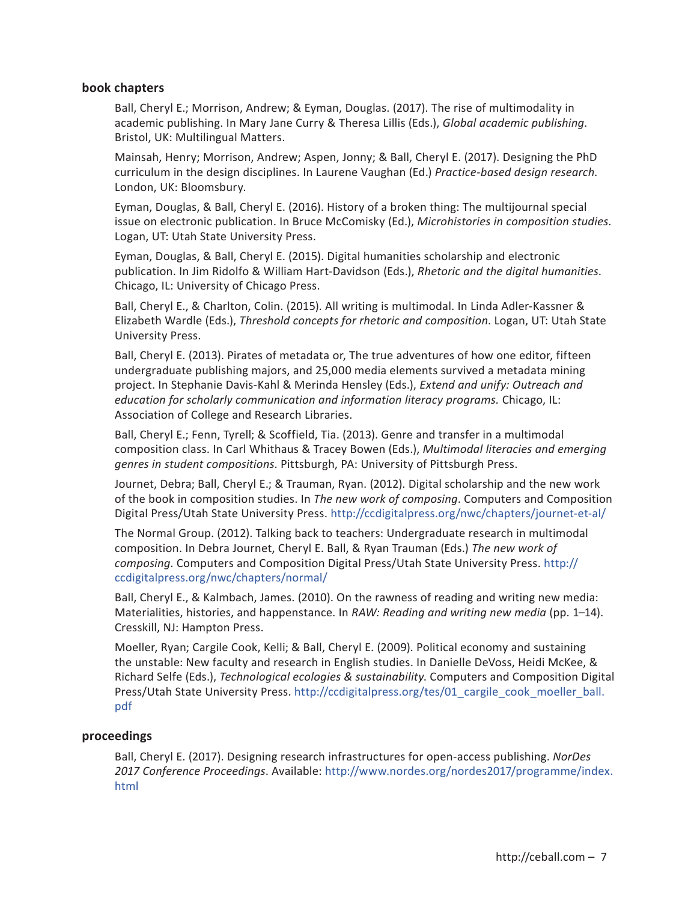# **book chapters**

Ball, Cheryl E.; Morrison, Andrew; & Eyman, Douglas. (2017). The rise of multimodality in academic publishing. In Mary Jane Curry & Theresa Lillis (Eds.), *Global academic publishing*. Bristol, UK: Multilingual Matters.

Mainsah, Henry; Morrison, Andrew; Aspen, Jonny; & Ball, Cheryl E. (2017). Designing the PhD curriculum in the design disciplines. In Laurene Vaughan (Ed.) *Practice-based design research*. London, UK: Bloomsbury.

Eyman, Douglas, & Ball, Cheryl E. (2016). History of a broken thing: The multijournal special issue on electronic publication. In Bruce McComisky (Ed.), *Microhistories in composition studies*. Logan, UT: Utah State University Press.

Eyman, Douglas, & Ball, Cheryl E. (2015). Digital humanities scholarship and electronic publication. In Jim Ridolfo & William Hart-Davidson (Eds.), *Rhetoric and the digital humanities*. Chicago, IL: University of Chicago Press.

Ball, Cheryl E., & Charlton, Colin. (2015). All writing is multimodal. In Linda Adler-Kassner & Elizabeth Wardle (Eds.), *Threshold concepts for rhetoric and composition*. Logan, UT: Utah State University Press.

Ball, Cheryl E. (2013). Pirates of metadata or, The true adventures of how one editor, fifteen undergraduate publishing majors, and 25,000 media elements survived a metadata mining project. In Stephanie Davis-Kahl & Merinda Hensley (Eds.), *Extend and unify: Outreach and education for scholarly communication and information literacy programs.* Chicago, IL: Association of College and Research Libraries.

Ball, Cheryl E.; Fenn, Tyrell; & Scoffield, Tia. (2013). Genre and transfer in a multimodal composition class. In Carl Whithaus & Tracey Bowen (Eds.), *Multimodal literacies and emerging genres in student compositions*. Pittsburgh, PA: University of Pittsburgh Press.

Journet, Debra; Ball, Cheryl E.; & Trauman, Ryan. (2012). Digital scholarship and the new work of the book in composition studies. In *The new work of composing*. Computers and Composition Digital Press/Utah State University Press. http://ccdigitalpress.org/nwc/chapters/journet-et-al/

The Normal Group. (2012). Talking back to teachers: Undergraduate research in multimodal composition. In Debra Journet, Cheryl E. Ball, & Ryan Trauman (Eds.) *The new work of composing*. Computers and Composition Digital Press/Utah State University Press. http:// ccdigitalpress.org/nwc/chapters/normal/

Ball, Cheryl E., & Kalmbach, James. (2010). On the rawness of reading and writing new media: Materialities, histories, and happenstance. In *RAW: Reading and writing new media* (pp. 1–14). Cresskill, NJ: Hampton Press.

Moeller, Ryan; Cargile Cook, Kelli; & Ball, Cheryl E. (2009). Political economy and sustaining the unstable: New faculty and research in English studies. In Danielle DeVoss, Heidi McKee, & Richard Selfe (Eds.), *Technological ecologies & sustainability*. Computers and Composition Digital Press/Utah State University Press. http://ccdigitalpress.org/tes/01\_cargile\_cook\_moeller\_ball. pdf

# **proceedings**

Ball, Cheryl E. (2017). Designing research infrastructures for open-access publishing. *NorDes 2017 Conference Proceedings*. Available: http://www.nordes.org/nordes2017/programme/index. html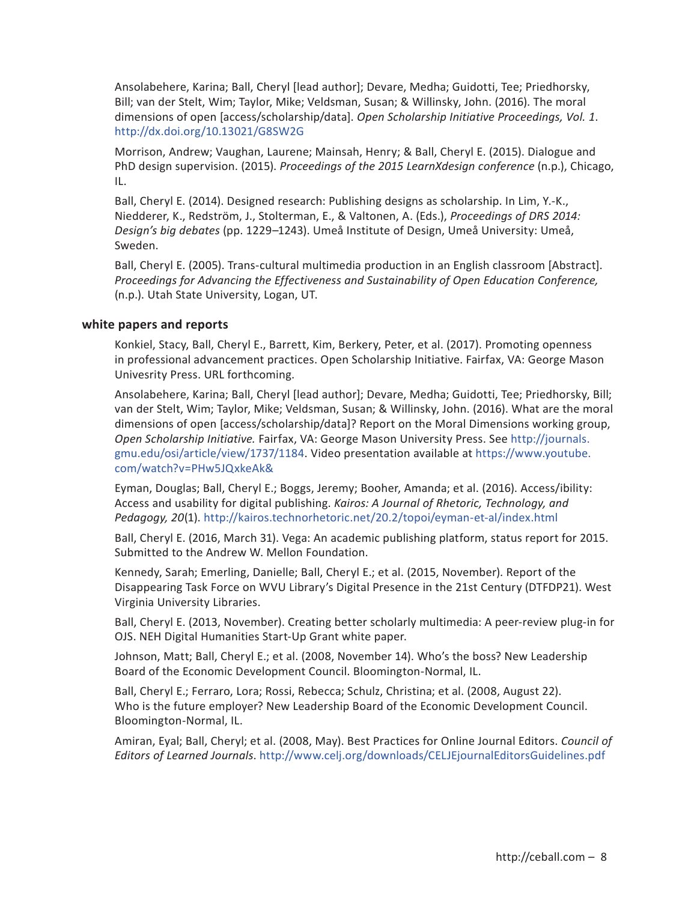Ansolabehere, Karina; Ball, Cheryl [lead author]; Devare, Medha; Guidotti, Tee; Priedhorsky, Bill; van der Stelt, Wim; Taylor, Mike; Veldsman, Susan; & Willinsky, John. (2016). The moral dimensions of open [access/scholarship/data]. *Open Scholarship Initiative Proceedings, Vol. 1*. http://dx.doi.org/10.13021/G8SW2G

Morrison, Andrew; Vaughan, Laurene; Mainsah, Henry; & Ball, Cheryl E. (2015). Dialogue and PhD design supervision. (2015). *Proceedings of the 2015 LearnXdesign conference* (n.p.), Chicago, IL.

Ball, Cheryl E. (2014). Designed research: Publishing designs as scholarship. In Lim, Y.-K., Niedderer, K., Redström, J., Stolterman, E., & Valtonen, A. (Eds.), *Proceedings of DRS 2014: Design's big debates* (pp. 1229–1243). Umeå Institute of Design, Umeå University: Umeå, Sweden.

Ball, Cheryl E. (2005). Trans-cultural multimedia production in an English classroom [Abstract]. *Proceedings for Advancing the Effectiveness and Sustainability of Open Education Conference,*  (n.p.). Utah State University, Logan, UT.

# **white papers and reports**

Konkiel, Stacy, Ball, Cheryl E., Barrett, Kim, Berkery, Peter, et al. (2017). Promoting openness in professional advancement practices. Open Scholarship Initiative. Fairfax, VA: George Mason Univesrity Press. URL forthcoming.

Ansolabehere, Karina; Ball, Cheryl [lead author]; Devare, Medha; Guidotti, Tee; Priedhorsky, Bill; van der Stelt, Wim; Taylor, Mike; Veldsman, Susan; & Willinsky, John. (2016). What are the moral dimensions of open [access/scholarship/data]? Report on the Moral Dimensions working group, *Open Scholarship Initiative.* Fairfax, VA: George Mason University Press. See http://journals. gmu.edu/osi/article/view/1737/1184. Video presentation available at https://www.youtube. com/watch?v=PHw5JQxkeAk&

Eyman, Douglas; Ball, Cheryl E.; Boggs, Jeremy; Booher, Amanda; et al. (2016). Access/ibility: Access and usability for digital publishing. *Kairos: A Journal of Rhetoric, Technology, and Pedagogy, 20*(1). http://kairos.technorhetoric.net/20.2/topoi/eyman-et-al/index.html

Ball, Cheryl E. (2016, March 31). Vega: An academic publishing platform, status report for 2015. Submitted to the Andrew W. Mellon Foundation.

Kennedy, Sarah; Emerling, Danielle; Ball, Cheryl E.; et al. (2015, November). Report of the Disappearing Task Force on WVU Library's Digital Presence in the 21st Century (DTFDP21). West Virginia University Libraries.

Ball, Cheryl E. (2013, November). Creating better scholarly multimedia: A peer-review plug-in for OJS. NEH Digital Humanities Start-Up Grant white paper.

Johnson, Matt; Ball, Cheryl E.; et al. (2008, November 14). Who's the boss? New Leadership Board of the Economic Development Council. Bloomington-Normal, IL.

Ball, Cheryl E.; Ferraro, Lora; Rossi, Rebecca; Schulz, Christina; et al. (2008, August 22). Who is the future employer? New Leadership Board of the Economic Development Council. Bloomington-Normal, IL.

Amiran, Eyal; Ball, Cheryl; et al. (2008, May). Best Practices for Online Journal Editors. *Council of Editors of Learned Journals*. http://www.celj.org/downloads/CELJEjournalEditorsGuidelines.pdf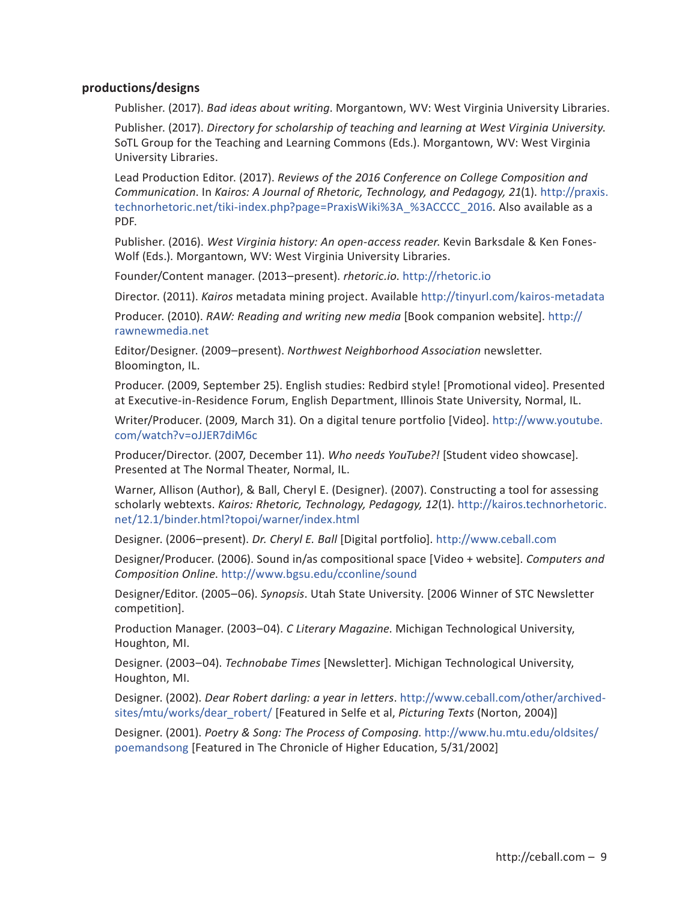# **productions/designs**

Publisher. (2017). *Bad ideas about writing*. Morgantown, WV: West Virginia University Libraries.

Publisher. (2017). *Directory for scholarship of teaching and learning at West Virginia University*. SoTL Group for the Teaching and Learning Commons (Eds.). Morgantown, WV: West Virginia University Libraries.

Lead Production Editor. (2017). *Reviews of the 2016 Conference on College Composition and Communication*. In *Kairos: A Journal of Rhetoric, Technology, and Pedagogy, 21*(1). http://praxis. technorhetoric.net/tiki-index.php?page=PraxisWiki%3A\_%3ACCCC\_2016. Also available as a PDF.

Publisher. (2016). *West Virginia history: An open-access reader*. Kevin Barksdale & Ken Fones-Wolf (Eds.). Morgantown, WV: West Virginia University Libraries.

Founder/Content manager. (2013–present). *rhetoric.io*. http://rhetoric.io

Director. (2011). *Kairos* metadata mining project. Available http://tinyurl.com/kairos-metadata

Producer. (2010). *RAW: Reading and writing new media* [Book companion website]. http:// rawnewmedia.net

Editor/Designer. (2009–present). *Northwest Neighborhood Association* newsletter. Bloomington, IL.

Producer. (2009, September 25). English studies: Redbird style! [Promotional video]. Presented at Executive-in-Residence Forum, English Department, Illinois State University, Normal, IL.

Writer/Producer. (2009, March 31). On a digital tenure portfolio [Video]. http://www.youtube. com/watch?v=oJJER7diM6c

Producer/Director. (2007, December 11). *Who needs YouTube?!* [Student video showcase]. Presented at The Normal Theater, Normal, IL.

Warner, Allison (Author), & Ball, Cheryl E. (Designer). (2007). Constructing a tool for assessing scholarly webtexts. *Kairos: Rhetoric, Technology, Pedagogy, 12*(1). http://kairos.technorhetoric. net/12.1/binder.html?topoi/warner/index.html

Designer. (2006–present). *Dr. Cheryl E. Ball* [Digital portfolio]. http://www.ceball.com

Designer/Producer. (2006). Sound in/as compositional space [Video + website]. *Computers and Composition Online*. http://www.bgsu.edu/cconline/sound

Designer/Editor. (2005–06). *Synopsis*. Utah State University. [2006 Winner of STC Newsletter competition].

Production Manager. (2003–04). *C Literary Magazine*. Michigan Technological University, Houghton, MI.

Designer. (2003–04). *Technobabe Times* [Newsletter]. Michigan Technological University, Houghton, MI.

Designer. (2002). *Dear Robert darling: a year in letters*. http://www.ceball.com/other/archivedsites/mtu/works/dear\_robert/ [Featured in Selfe et al, *Picturing Texts* (Norton, 2004)]

Designer. (2001). *Poetry & Song: The Process of Composing*. http://www.hu.mtu.edu/oldsites/ poemandsong [Featured in The Chronicle of Higher Education, 5/31/2002]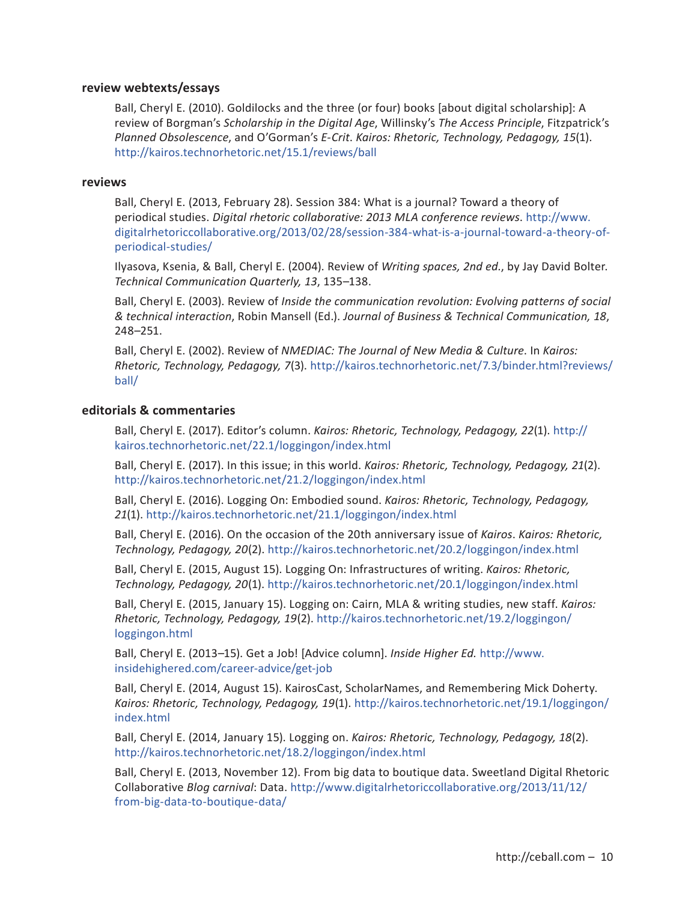## **review webtexts/essays**

Ball, Cheryl E. (2010). Goldilocks and the three (or four) books [about digital scholarship]: A review of Borgman's *Scholarship in the Digital Age*, Willinsky's *The Access Principle*, Fitzpatrick's *Planned Obsolescence*, and O'Gorman's *E-Crit*. *Kairos: Rhetoric, Technology, Pedagogy, 15*(1). http://kairos.technorhetoric.net/15.1/reviews/ball

#### **reviews**

Ball, Cheryl E. (2013, February 28). Session 384: What is a journal? Toward a theory of periodical studies. *Digital rhetoric collaborative: 2013 MLA conference reviews*. http://www. digitalrhetoriccollaborative.org/2013/02/28/session-384-what-is-a-journal-toward-a-theory-ofperiodical-studies/

Ilyasova, Ksenia, & Ball, Cheryl E. (2004). Review of *Writing spaces, 2nd ed.*, by Jay David Bolter. *Technical Communication Quarterly, 13*, 135–138.

Ball, Cheryl E. (2003). Review of *Inside the communication revolution: Evolving patterns of social & technical interaction*, Robin Mansell (Ed.). *Journal of Business & Technical Communication, 18*, 248–251.

Ball, Cheryl E. (2002). Review of *NMEDIAC: The Journal of New Media & Culture*. In *Kairos: Rhetoric, Technology, Pedagogy, 7*(3). http://kairos.technorhetoric.net/7.3/binder.html?reviews/ ball/

#### **editorials & commentaries**

Ball, Cheryl E. (2017). Editor's column. *Kairos: Rhetoric, Technology, Pedagogy, 22*(1). http:// kairos.technorhetoric.net/22.1/loggingon/index.html

Ball, Cheryl E. (2017). In this issue; in this world. *Kairos: Rhetoric, Technology, Pedagogy, 21*(2). http://kairos.technorhetoric.net/21.2/loggingon/index.html

Ball, Cheryl E. (2016). Logging On: Embodied sound. *Kairos: Rhetoric, Technology, Pedagogy, 21*(1). http://kairos.technorhetoric.net/21.1/loggingon/index.html

Ball, Cheryl E. (2016). On the occasion of the 20th anniversary issue of *Kairos*. *Kairos: Rhetoric, Technology, Pedagogy, 20*(2). http://kairos.technorhetoric.net/20.2/loggingon/index.html

Ball, Cheryl E. (2015, August 15). Logging On: Infrastructures of writing. *Kairos: Rhetoric, Technology, Pedagogy, 20*(1). http://kairos.technorhetoric.net/20.1/loggingon/index.html

Ball, Cheryl E. (2015, January 15). Logging on: Cairn, MLA & writing studies, new staff. *Kairos: Rhetoric, Technology, Pedagogy, 19*(2). http://kairos.technorhetoric.net/19.2/loggingon/ loggingon.html

Ball, Cheryl E. (2013–15). Get a Job! [Advice column]. *Inside Higher Ed.* http://www. insidehighered.com/career-advice/get-job

Ball, Cheryl E. (2014, August 15). KairosCast, ScholarNames, and Remembering Mick Doherty. *Kairos: Rhetoric, Technology, Pedagogy, 19*(1). http://kairos.technorhetoric.net/19.1/loggingon/ index.html

Ball, Cheryl E. (2014, January 15). Logging on. *Kairos: Rhetoric, Technology, Pedagogy, 18*(2). http://kairos.technorhetoric.net/18.2/loggingon/index.html

Ball, Cheryl E. (2013, November 12). From big data to boutique data. Sweetland Digital Rhetoric Collaborative *Blog carnival*: Data. http://www.digitalrhetoriccollaborative.org/2013/11/12/ from-big-data-to-boutique-data/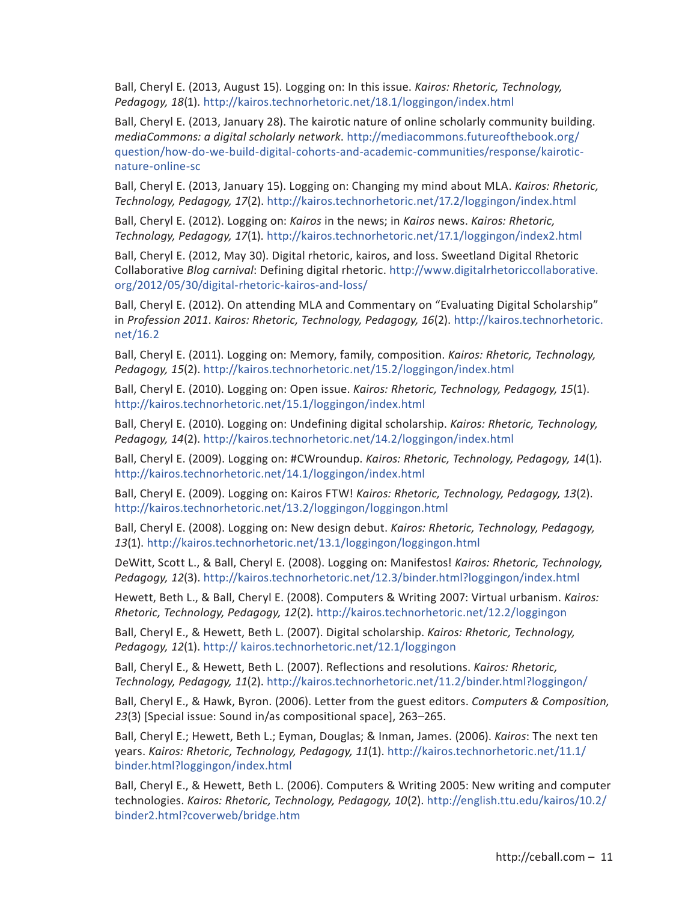Ball, Cheryl E. (2013, August 15). Logging on: In this issue. *Kairos: Rhetoric, Technology, Pedagogy, 18*(1). http://kairos.technorhetoric.net/18.1/loggingon/index.html

Ball, Cheryl E. (2013, January 28). The kairotic nature of online scholarly community building. *mediaCommons: a digital scholarly network*. http://mediacommons.futureofthebook.org/ question/how-do-we-build-digital-cohorts-and-academic-communities/response/kairoticnature-online-sc

Ball, Cheryl E. (2013, January 15). Logging on: Changing my mind about MLA. *Kairos: Rhetoric, Technology, Pedagogy, 17*(2). http://kairos.technorhetoric.net/17.2/loggingon/index.html

Ball, Cheryl E. (2012). Logging on: *Kairos* in the news; in *Kairos* news. *Kairos: Rhetoric, Technology, Pedagogy, 17*(1). http://kairos.technorhetoric.net/17.1/loggingon/index2.html

Ball, Cheryl E. (2012, May 30). Digital rhetoric, kairos, and loss. Sweetland Digital Rhetoric Collaborative *Blog carnival*: Defining digital rhetoric. http://www.digitalrhetoriccollaborative. org/2012/05/30/digital-rhetoric-kairos-and-loss/

Ball, Cheryl E. (2012). On attending MLA and Commentary on "Evaluating Digital Scholarship" in *Profession 2011*. *Kairos: Rhetoric, Technology, Pedagogy, 16*(2). http://kairos.technorhetoric. net/16.2

Ball, Cheryl E. (2011). Logging on: Memory, family, composition. *Kairos: Rhetoric, Technology, Pedagogy, 15*(2). http://kairos.technorhetoric.net/15.2/loggingon/index.html

Ball, Cheryl E. (2010). Logging on: Open issue. *Kairos: Rhetoric, Technology, Pedagogy, 15*(1). http://kairos.technorhetoric.net/15.1/loggingon/index.html

Ball, Cheryl E. (2010). Logging on: Undefining digital scholarship. *Kairos: Rhetoric, Technology, Pedagogy, 14*(2). http://kairos.technorhetoric.net/14.2/loggingon/index.html

Ball, Cheryl E. (2009). Logging on: #CWroundup. *Kairos: Rhetoric, Technology, Pedagogy, 14*(1). http://kairos.technorhetoric.net/14.1/loggingon/index.html

Ball, Cheryl E. (2009). Logging on: Kairos FTW! *Kairos: Rhetoric, Technology, Pedagogy, 13*(2). http://kairos.technorhetoric.net/13.2/loggingon/loggingon.html

Ball, Cheryl E. (2008). Logging on: New design debut. *Kairos: Rhetoric, Technology, Pedagogy, 13*(1). http://kairos.technorhetoric.net/13.1/loggingon/loggingon.html

DeWitt, Scott L., & Ball, Cheryl E. (2008). Logging on: Manifestos! *Kairos: Rhetoric, Technology, Pedagogy, 12*(3). http://kairos.technorhetoric.net/12.3/binder.html?loggingon/index.html

Hewett, Beth L., & Ball, Cheryl E. (2008). Computers & Writing 2007: Virtual urbanism. *Kairos: Rhetoric, Technology, Pedagogy, 12*(2). http://kairos.technorhetoric.net/12.2/loggingon

Ball, Cheryl E., & Hewett, Beth L. (2007). Digital scholarship. *Kairos: Rhetoric, Technology, Pedagogy, 12*(1). http:// kairos.technorhetoric.net/12.1/loggingon

Ball, Cheryl E., & Hewett, Beth L. (2007). Reflections and resolutions. *Kairos: Rhetoric, Technology, Pedagogy, 11*(2). http://kairos.technorhetoric.net/11.2/binder.html?loggingon/

Ball, Cheryl E., & Hawk, Byron. (2006). Letter from the guest editors. *Computers & Composition, 23*(3) [Special issue: Sound in/as compositional space], 263–265.

Ball, Cheryl E.; Hewett, Beth L.; Eyman, Douglas; & Inman, James. (2006). *Kairos*: The next ten years. *Kairos: Rhetoric, Technology, Pedagogy, 11*(1). http://kairos.technorhetoric.net/11.1/ binder.html?loggingon/index.html

Ball, Cheryl E., & Hewett, Beth L. (2006). Computers & Writing 2005: New writing and computer technologies. *Kairos: Rhetoric, Technology, Pedagogy, 10*(2). http://english.ttu.edu/kairos/10.2/ binder2.html?coverweb/bridge.htm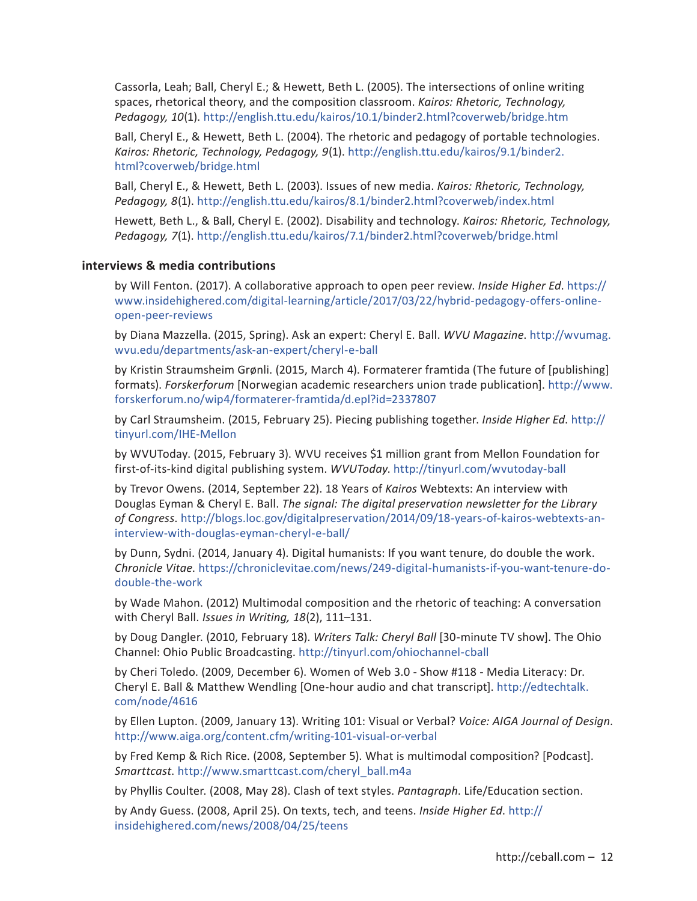Cassorla, Leah; Ball, Cheryl E.; & Hewett, Beth L. (2005). The intersections of online writing spaces, rhetorical theory, and the composition classroom. *Kairos: Rhetoric, Technology, Pedagogy, 10*(1). http://english.ttu.edu/kairos/10.1/binder2.html?coverweb/bridge.htm

Ball, Cheryl E., & Hewett, Beth L. (2004). The rhetoric and pedagogy of portable technologies. *Kairos: Rhetoric, Technology, Pedagogy, 9*(1). http://english.ttu.edu/kairos/9.1/binder2. html?coverweb/bridge.html

Ball, Cheryl E., & Hewett, Beth L. (2003). Issues of new media. *Kairos: Rhetoric, Technology, Pedagogy, 8*(1). http://english.ttu.edu/kairos/8.1/binder2.html?coverweb/index.html

Hewett, Beth L., & Ball, Cheryl E. (2002). Disability and technology. *Kairos: Rhetoric, Technology, Pedagogy, 7*(1). http://english.ttu.edu/kairos/7.1/binder2.html?coverweb/bridge.html

## **interviews & media contributions**

by Will Fenton. (2017). A collaborative approach to open peer review. *Inside Higher Ed*. https:// www.insidehighered.com/digital-learning/article/2017/03/22/hybrid-pedagogy-offers-onlineopen-peer-reviews

by Diana Mazzella. (2015, Spring). Ask an expert: Cheryl E. Ball. *WVU Magazine*. http://wvumag. wvu.edu/departments/ask-an-expert/cheryl-e-ball

by Kristin Straumsheim Grønli. (2015, March 4). Formaterer framtida (The future of [publishing] formats). *Forskerforum* [Norwegian academic researchers union trade publication]. http://www. forskerforum.no/wip4/formaterer-framtida/d.epl?id=2337807

by Carl Straumsheim. (2015, February 25). Piecing publishing together. *Inside Higher Ed*. http:// tinyurl.com/IHE-Mellon

by WVUToday. (2015, February 3). WVU receives \$1 million grant from Mellon Foundation for first-of-its-kind digital publishing system. *WVUToday*. http://tinyurl.com/wvutoday-ball

by Trevor Owens. (2014, September 22). 18 Years of *Kairos* Webtexts: An interview with Douglas Eyman & Cheryl E. Ball. *The signal: The digital preservation newsletter for the Library of Congress*. http://blogs.loc.gov/digitalpreservation/2014/09/18-years-of-kairos-webtexts-aninterview-with-douglas-eyman-cheryl-e-ball/

by Dunn, Sydni. (2014, January 4). Digital humanists: If you want tenure, do double the work. *Chronicle Vitae*. https://chroniclevitae.com/news/249-digital-humanists-if-you-want-tenure-dodouble-the-work

by Wade Mahon. (2012) Multimodal composition and the rhetoric of teaching: A conversation with Cheryl Ball. *Issues in Writing, 18*(2), 111–131.

by Doug Dangler. (2010, February 18). *Writers Talk: Cheryl Ball* [30-minute TV show]. The Ohio Channel: Ohio Public Broadcasting. http://tinyurl.com/ohiochannel-cball

by Cheri Toledo. (2009, December 6). Women of Web 3.0 - Show #118 - Media Literacy: Dr. Cheryl E. Ball & Matthew Wendling [One-hour audio and chat transcript]. http://edtechtalk. com/node/4616

by Ellen Lupton. (2009, January 13). Writing 101: Visual or Verbal? *Voice: AIGA Journal of Design*. http://www.aiga.org/content.cfm/writing-101-visual-or-verbal

by Fred Kemp & Rich Rice. (2008, September 5). What is multimodal composition? [Podcast]. *Smarttcast*. http://www.smarttcast.com/cheryl\_ball.m4a

by Phyllis Coulter. (2008, May 28). Clash of text styles. *Pantagraph*. Life/Education section.

by Andy Guess. (2008, April 25). On texts, tech, and teens. *Inside Higher Ed*. http:// insidehighered.com/news/2008/04/25/teens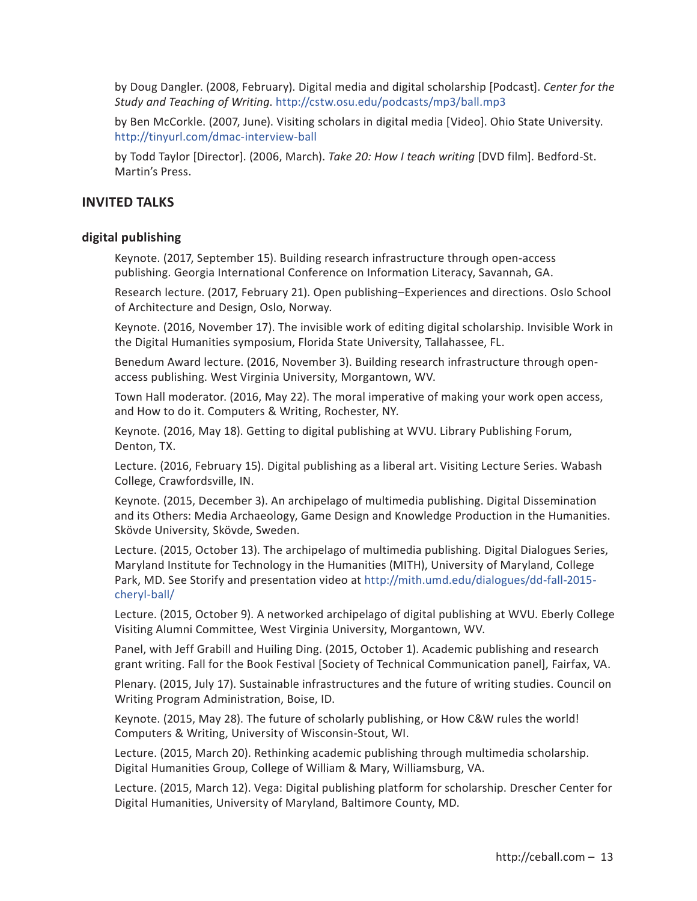by Doug Dangler. (2008, February). Digital media and digital scholarship [Podcast]. *Center for the Study and Teaching of Writing*. http://cstw.osu.edu/podcasts/mp3/ball.mp3

by Ben McCorkle. (2007, June). Visiting scholars in digital media [Video]. Ohio State University. http://tinyurl.com/dmac-interview-ball

by Todd Taylor [Director]. (2006, March). *Take 20: How I teach writing* [DVD film]. Bedford-St. Martin's Press.

# **INVITED TALKS**

## **digital publishing**

Keynote. (2017, September 15). Building research infrastructure through open-access publishing. Georgia International Conference on Information Literacy, Savannah, GA.

Research lecture. (2017, February 21). Open publishing–Experiences and directions. Oslo School of Architecture and Design, Oslo, Norway.

Keynote. (2016, November 17). The invisible work of editing digital scholarship. Invisible Work in the Digital Humanities symposium, Florida State University, Tallahassee, FL.

Benedum Award lecture. (2016, November 3). Building research infrastructure through openaccess publishing. West Virginia University, Morgantown, WV.

Town Hall moderator. (2016, May 22). The moral imperative of making your work open access, and How to do it. Computers & Writing, Rochester, NY.

Keynote. (2016, May 18). Getting to digital publishing at WVU. Library Publishing Forum, Denton, TX.

Lecture. (2016, February 15). Digital publishing as a liberal art. Visiting Lecture Series. Wabash College, Crawfordsville, IN.

Keynote. (2015, December 3). An archipelago of multimedia publishing. Digital Dissemination and its Others: Media Archaeology, Game Design and Knowledge Production in the Humanities. Skövde University, Skövde, Sweden.

Lecture. (2015, October 13). The archipelago of multimedia publishing. Digital Dialogues Series, Maryland Institute for Technology in the Humanities (MITH), University of Maryland, College Park, MD. See Storify and presentation video at http://mith.umd.edu/dialogues/dd-fall-2015 cheryl-ball/

Lecture. (2015, October 9). A networked archipelago of digital publishing at WVU. Eberly College Visiting Alumni Committee, West Virginia University, Morgantown, WV.

Panel, with Jeff Grabill and Huiling Ding. (2015, October 1). Academic publishing and research grant writing. Fall for the Book Festival [Society of Technical Communication panel], Fairfax, VA.

Plenary. (2015, July 17). Sustainable infrastructures and the future of writing studies. Council on Writing Program Administration, Boise, ID.

Keynote. (2015, May 28). The future of scholarly publishing, or How C&W rules the world! Computers & Writing, University of Wisconsin-Stout, WI.

Lecture. (2015, March 20). Rethinking academic publishing through multimedia scholarship. Digital Humanities Group, College of William & Mary, Williamsburg, VA.

Lecture. (2015, March 12). Vega: Digital publishing platform for scholarship. Drescher Center for Digital Humanities, University of Maryland, Baltimore County, MD.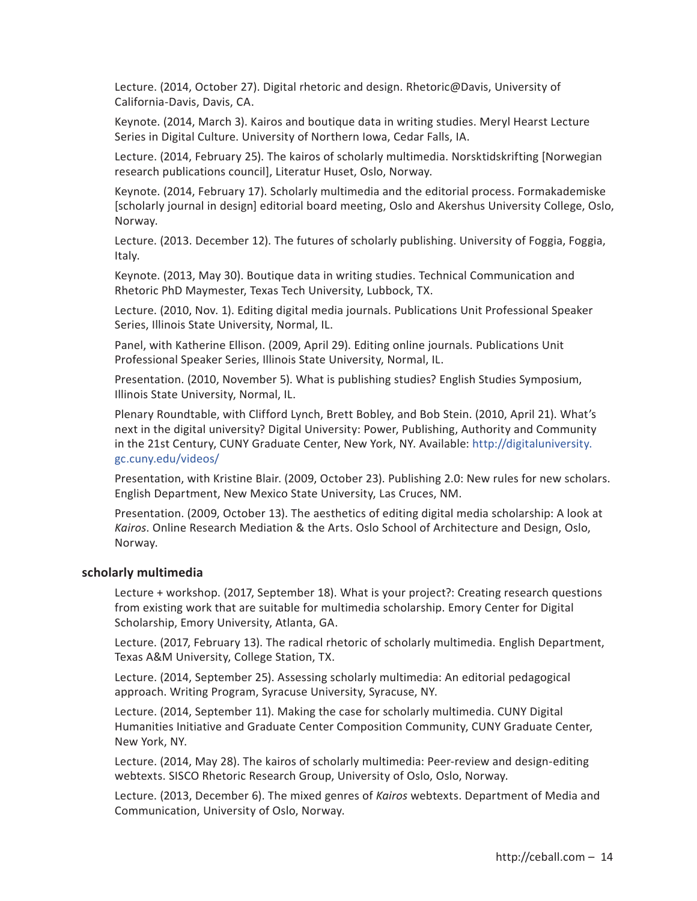Lecture. (2014, October 27). Digital rhetoric and design. Rhetoric@Davis, University of California-Davis, Davis, CA.

Keynote. (2014, March 3). Kairos and boutique data in writing studies. Meryl Hearst Lecture Series in Digital Culture. University of Northern Iowa, Cedar Falls, IA.

Lecture. (2014, February 25). The kairos of scholarly multimedia. Norsktidskrifting [Norwegian research publications council], Literatur Huset, Oslo, Norway.

Keynote. (2014, February 17). Scholarly multimedia and the editorial process. Formakademiske [scholarly journal in design] editorial board meeting, Oslo and Akershus University College, Oslo, Norway.

Lecture. (2013. December 12). The futures of scholarly publishing. University of Foggia, Foggia, Italy.

Keynote. (2013, May 30). Boutique data in writing studies. Technical Communication and Rhetoric PhD Maymester, Texas Tech University, Lubbock, TX.

Lecture. (2010, Nov. 1). Editing digital media journals. Publications Unit Professional Speaker Series, Illinois State University, Normal, IL.

Panel, with Katherine Ellison. (2009, April 29). Editing online journals. Publications Unit Professional Speaker Series, Illinois State University, Normal, IL.

Presentation. (2010, November 5). What is publishing studies? English Studies Symposium, Illinois State University, Normal, IL.

Plenary Roundtable, with Clifford Lynch, Brett Bobley, and Bob Stein. (2010, April 21). What's next in the digital university? Digital University: Power, Publishing, Authority and Community in the 21st Century, CUNY Graduate Center, New York, NY. Available: http://digitaluniversity. gc.cuny.edu/videos/

Presentation, with Kristine Blair. (2009, October 23). Publishing 2.0: New rules for new scholars. English Department, New Mexico State University, Las Cruces, NM.

Presentation. (2009, October 13). The aesthetics of editing digital media scholarship: A look at *Kairos*. Online Research Mediation & the Arts. Oslo School of Architecture and Design, Oslo, Norway.

#### **scholarly multimedia**

Lecture + workshop. (2017, September 18). What is your project?: Creating research questions from existing work that are suitable for multimedia scholarship. Emory Center for Digital Scholarship, Emory University, Atlanta, GA.

Lecture. (2017, February 13). The radical rhetoric of scholarly multimedia. English Department, Texas A&M University, College Station, TX.

Lecture. (2014, September 25). Assessing scholarly multimedia: An editorial pedagogical approach. Writing Program, Syracuse University, Syracuse, NY.

Lecture. (2014, September 11). Making the case for scholarly multimedia. CUNY Digital Humanities Initiative and Graduate Center Composition Community, CUNY Graduate Center, New York, NY.

Lecture. (2014, May 28). The kairos of scholarly multimedia: Peer-review and design-editing webtexts. SISCO Rhetoric Research Group, University of Oslo, Oslo, Norway.

Lecture. (2013, December 6). The mixed genres of *Kairos* webtexts. Department of Media and Communication, University of Oslo, Norway.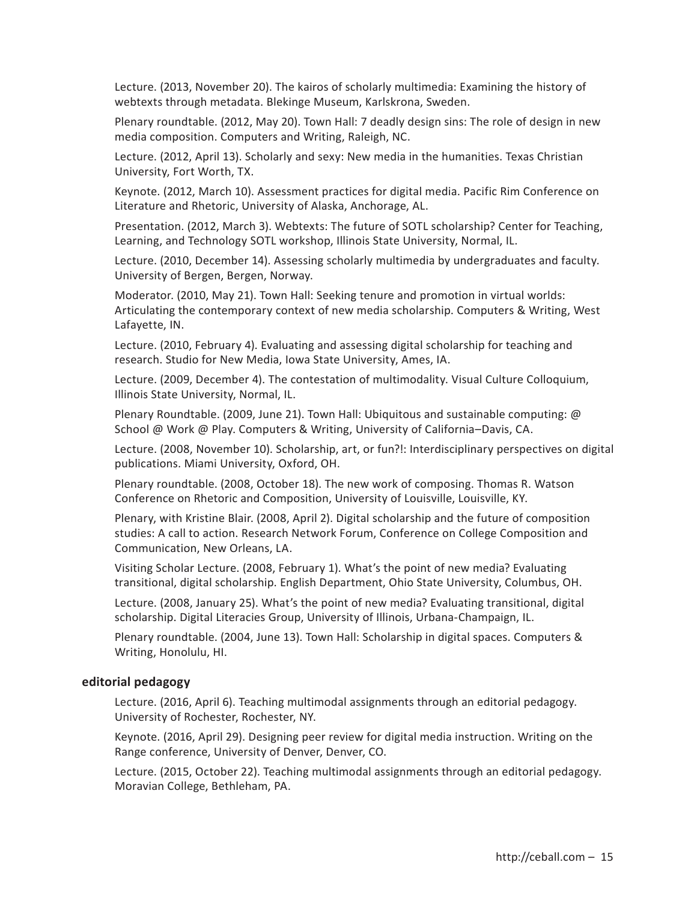Lecture. (2013, November 20). The kairos of scholarly multimedia: Examining the history of webtexts through metadata. Blekinge Museum, Karlskrona, Sweden.

Plenary roundtable. (2012, May 20). Town Hall: 7 deadly design sins: The role of design in new media composition. Computers and Writing, Raleigh, NC.

Lecture. (2012, April 13). Scholarly and sexy: New media in the humanities. Texas Christian University, Fort Worth, TX.

Keynote. (2012, March 10). Assessment practices for digital media. Pacific Rim Conference on Literature and Rhetoric, University of Alaska, Anchorage, AL.

Presentation. (2012, March 3). Webtexts: The future of SOTL scholarship? Center for Teaching, Learning, and Technology SOTL workshop, Illinois State University, Normal, IL.

Lecture. (2010, December 14). Assessing scholarly multimedia by undergraduates and faculty. University of Bergen, Bergen, Norway.

Moderator. (2010, May 21). Town Hall: Seeking tenure and promotion in virtual worlds: Articulating the contemporary context of new media scholarship. Computers & Writing, West Lafayette, IN.

Lecture. (2010, February 4). Evaluating and assessing digital scholarship for teaching and research. Studio for New Media, Iowa State University, Ames, IA.

Lecture. (2009, December 4). The contestation of multimodality. Visual Culture Colloquium, Illinois State University, Normal, IL.

Plenary Roundtable. (2009, June 21). Town Hall: Ubiquitous and sustainable computing:  $\omega$ School @ Work @ Play. Computers & Writing, University of California–Davis, CA.

Lecture. (2008, November 10). Scholarship, art, or fun?!: Interdisciplinary perspectives on digital publications. Miami University, Oxford, OH.

Plenary roundtable. (2008, October 18). The new work of composing. Thomas R. Watson Conference on Rhetoric and Composition, University of Louisville, Louisville, KY.

Plenary, with Kristine Blair. (2008, April 2). Digital scholarship and the future of composition studies: A call to action. Research Network Forum, Conference on College Composition and Communication, New Orleans, LA.

Visiting Scholar Lecture. (2008, February 1). What's the point of new media? Evaluating transitional, digital scholarship. English Department, Ohio State University, Columbus, OH.

Lecture. (2008, January 25). What's the point of new media? Evaluating transitional, digital scholarship. Digital Literacies Group, University of Illinois, Urbana-Champaign, IL.

Plenary roundtable. (2004, June 13). Town Hall: Scholarship in digital spaces. Computers & Writing, Honolulu, HI.

#### **editorial pedagogy**

Lecture. (2016, April 6). Teaching multimodal assignments through an editorial pedagogy. University of Rochester, Rochester, NY.

Keynote. (2016, April 29). Designing peer review for digital media instruction. Writing on the Range conference, University of Denver, Denver, CO.

Lecture. (2015, October 22). Teaching multimodal assignments through an editorial pedagogy. Moravian College, Bethleham, PA.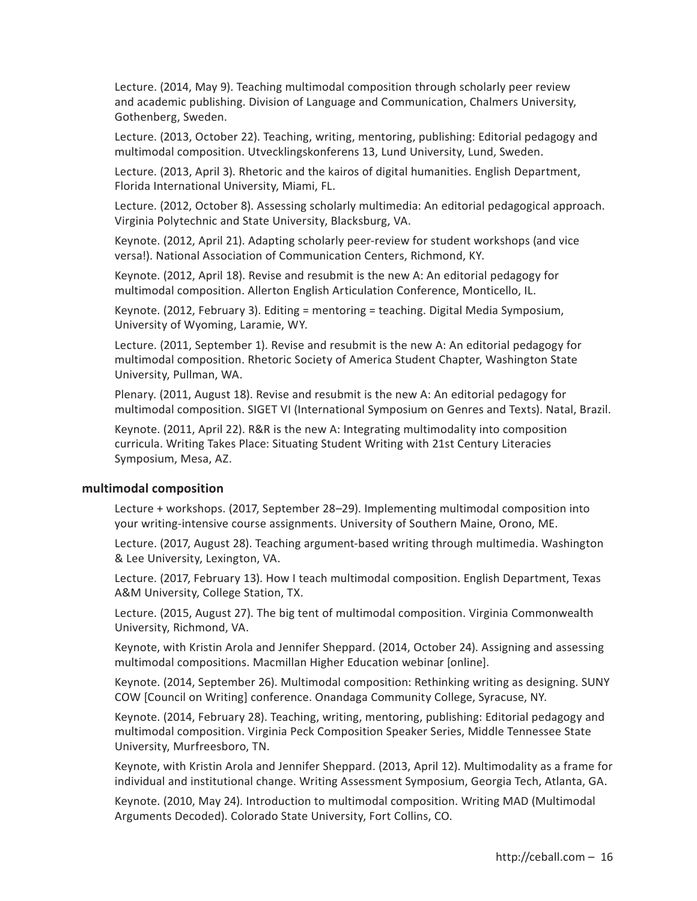Lecture. (2014, May 9). Teaching multimodal composition through scholarly peer review and academic publishing. Division of Language and Communication, Chalmers University, Gothenberg, Sweden.

Lecture. (2013, October 22). Teaching, writing, mentoring, publishing: Editorial pedagogy and multimodal composition. Utvecklingskonferens 13, Lund University, Lund, Sweden.

Lecture. (2013, April 3). Rhetoric and the kairos of digital humanities. English Department, Florida International University, Miami, FL.

Lecture. (2012, October 8). Assessing scholarly multimedia: An editorial pedagogical approach. Virginia Polytechnic and State University, Blacksburg, VA.

Keynote. (2012, April 21). Adapting scholarly peer-review for student workshops (and vice versa!). National Association of Communication Centers, Richmond, KY.

Keynote. (2012, April 18). Revise and resubmit is the new A: An editorial pedagogy for multimodal composition. Allerton English Articulation Conference, Monticello, IL.

Keynote. (2012, February 3). Editing = mentoring = teaching. Digital Media Symposium, University of Wyoming, Laramie, WY.

Lecture. (2011, September 1). Revise and resubmit is the new A: An editorial pedagogy for multimodal composition. Rhetoric Society of America Student Chapter, Washington State University, Pullman, WA.

Plenary. (2011, August 18). Revise and resubmit is the new A: An editorial pedagogy for multimodal composition. SIGET VI (International Symposium on Genres and Texts). Natal, Brazil.

Keynote. (2011, April 22). R&R is the new A: Integrating multimodality into composition curricula. Writing Takes Place: Situating Student Writing with 21st Century Literacies Symposium, Mesa, AZ.

#### **multimodal composition**

Lecture + workshops. (2017, September 28–29). Implementing multimodal composition into your writing-intensive course assignments. University of Southern Maine, Orono, ME.

Lecture. (2017, August 28). Teaching argument-based writing through multimedia. Washington & Lee University, Lexington, VA.

Lecture. (2017, February 13). How I teach multimodal composition. English Department, Texas A&M University, College Station, TX.

Lecture. (2015, August 27). The big tent of multimodal composition. Virginia Commonwealth University, Richmond, VA.

Keynote, with Kristin Arola and Jennifer Sheppard. (2014, October 24). Assigning and assessing multimodal compositions. Macmillan Higher Education webinar [online].

Keynote. (2014, September 26). Multimodal composition: Rethinking writing as designing. SUNY COW [Council on Writing] conference. Onandaga Community College, Syracuse, NY.

Keynote. (2014, February 28). Teaching, writing, mentoring, publishing: Editorial pedagogy and multimodal composition. Virginia Peck Composition Speaker Series, Middle Tennessee State University, Murfreesboro, TN.

Keynote, with Kristin Arola and Jennifer Sheppard. (2013, April 12). Multimodality as a frame for individual and institutional change. Writing Assessment Symposium, Georgia Tech, Atlanta, GA.

Keynote. (2010, May 24). Introduction to multimodal composition. Writing MAD (Multimodal Arguments Decoded). Colorado State University, Fort Collins, CO.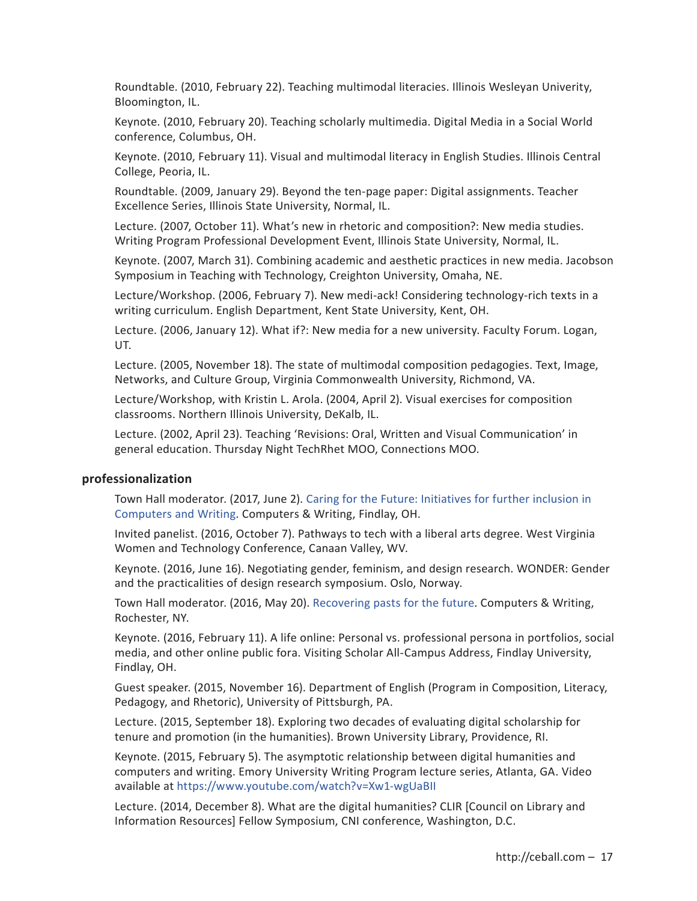Roundtable. (2010, February 22). Teaching multimodal literacies. Illinois Wesleyan Univerity, Bloomington, IL.

Keynote. (2010, February 20). Teaching scholarly multimedia. Digital Media in a Social World conference, Columbus, OH.

Keynote. (2010, February 11). Visual and multimodal literacy in English Studies. Illinois Central College, Peoria, IL.

Roundtable. (2009, January 29). Beyond the ten-page paper: Digital assignments. Teacher Excellence Series, Illinois State University, Normal, IL.

Lecture. (2007, October 11). What's new in rhetoric and composition?: New media studies. Writing Program Professional Development Event, Illinois State University, Normal, IL.

Keynote. (2007, March 31). Combining academic and aesthetic practices in new media. Jacobson Symposium in Teaching with Technology, Creighton University, Omaha, NE.

Lecture/Workshop. (2006, February 7). New medi-ack! Considering technology-rich texts in a writing curriculum. English Department, Kent State University, Kent, OH.

Lecture. (2006, January 12). What if?: New media for a new university. Faculty Forum. Logan, UT.

Lecture. (2005, November 18). The state of multimodal composition pedagogies. Text, Image, Networks, and Culture Group, Virginia Commonwealth University, Richmond, VA.

Lecture/Workshop, with Kristin L. Arola. (2004, April 2). Visual exercises for composition classrooms. Northern Illinois University, DeKalb, IL.

Lecture. (2002, April 23). Teaching 'Revisions: Oral, Written and Visual Communication' in general education. Thursday Night TechRhet MOO, Connections MOO.

#### **professionalization**

Town Hall moderator. (2017, June 2). Caring for the Future: Initiatives for further inclusion in Computers and Writing. Computers & Writing, Findlay, OH.

Invited panelist. (2016, October 7). Pathways to tech with a liberal arts degree. West Virginia Women and Technology Conference, Canaan Valley, WV.

Keynote. (2016, June 16). Negotiating gender, feminism, and design research. WONDER: Gender and the practicalities of design research symposium. Oslo, Norway.

Town Hall moderator. (2016, May 20). Recovering pasts for the future. Computers & Writing, Rochester, NY.

Keynote. (2016, February 11). A life online: Personal vs. professional persona in portfolios, social media, and other online public fora. Visiting Scholar All-Campus Address, Findlay University, Findlay, OH.

Guest speaker. (2015, November 16). Department of English (Program in Composition, Literacy, Pedagogy, and Rhetoric), University of Pittsburgh, PA.

Lecture. (2015, September 18). Exploring two decades of evaluating digital scholarship for tenure and promotion (in the humanities). Brown University Library, Providence, RI.

Keynote. (2015, February 5). The asymptotic relationship between digital humanities and computers and writing. Emory University Writing Program lecture series, Atlanta, GA. Video available at https://www.youtube.com/watch?v=Xw1-wgUaBII

Lecture. (2014, December 8). What are the digital humanities? CLIR [Council on Library and Information Resources] Fellow Symposium, CNI conference, Washington, D.C.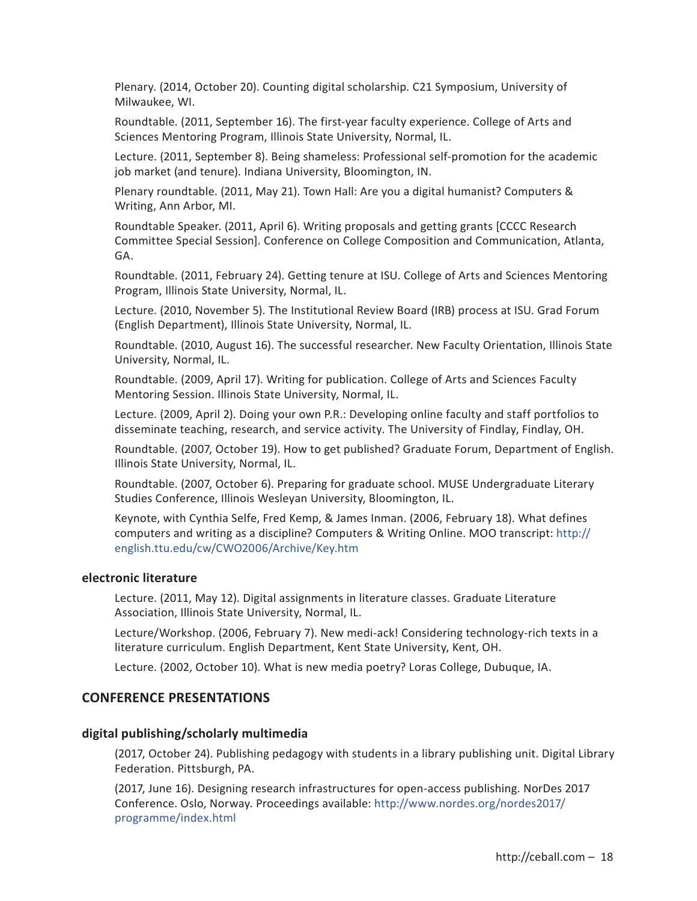Plenary. (2014, October 20). Counting digital scholarship. C21 Symposium, University of Milwaukee, WI.

Roundtable. (2011, September 16). The first-year faculty experience. College of Arts and Sciences Mentoring Program, Illinois State University, Normal, IL.

Lecture. (2011, September 8). Being shameless: Professional self-promotion for the academic job market (and tenure). Indiana University, Bloomington, IN.

Plenary roundtable. (2011, May 21). Town Hall: Are you a digital humanist? Computers & Writing, Ann Arbor, MI.

Roundtable Speaker. (2011, April 6). Writing proposals and getting grants [CCCC Research Committee Special Session]. Conference on College Composition and Communication, Atlanta, GA.

Roundtable. (2011, February 24). Getting tenure at ISU. College of Arts and Sciences Mentoring Program, Illinois State University, Normal, IL.

Lecture. (2010, November 5). The Institutional Review Board (IRB) process at ISU. Grad Forum (English Department), Illinois State University, Normal, IL.

Roundtable. (2010, August 16). The successful researcher. New Faculty Orientation, Illinois State University, Normal, IL.

Roundtable. (2009, April 17). Writing for publication. College of Arts and Sciences Faculty Mentoring Session. Illinois State University, Normal, IL.

Lecture. (2009, April 2). Doing your own P.R.: Developing online faculty and staff portfolios to disseminate teaching, research, and service activity. The University of Findlay, Findlay, OH.

Roundtable. (2007, October 19). How to get published? Graduate Forum, Department of English. Illinois State University, Normal, IL.

Roundtable. (2007, October 6). Preparing for graduate school. MUSE Undergraduate Literary Studies Conference, Illinois Wesleyan University, Bloomington, IL.

Keynote, with Cynthia Selfe, Fred Kemp, & James Inman. (2006, February 18). What defines computers and writing as a discipline? Computers & Writing Online. MOO transcript: http:// english.ttu.edu/cw/CWO2006/Archive/Key.htm

## **electronic literature**

Lecture. (2011, May 12). Digital assignments in literature classes. Graduate Literature Association, Illinois State University, Normal, IL.

Lecture/Workshop. (2006, February 7). New medi-ack! Considering technology-rich texts in a literature curriculum. English Department, Kent State University, Kent, OH.

Lecture. (2002, October 10). What is new media poetry? Loras College, Dubuque, IA.

# **CONFERENCE PRESENTATIONS**

# **digital publishing/scholarly multimedia**

(2017, October 24). Publishing pedagogy with students in a library publishing unit. Digital Library Federation. Pittsburgh, PA.

(2017, June 16). Designing research infrastructures for open-access publishing. NorDes 2017 Conference. Oslo, Norway. Proceedings available: http://www.nordes.org/nordes2017/ programme/index.html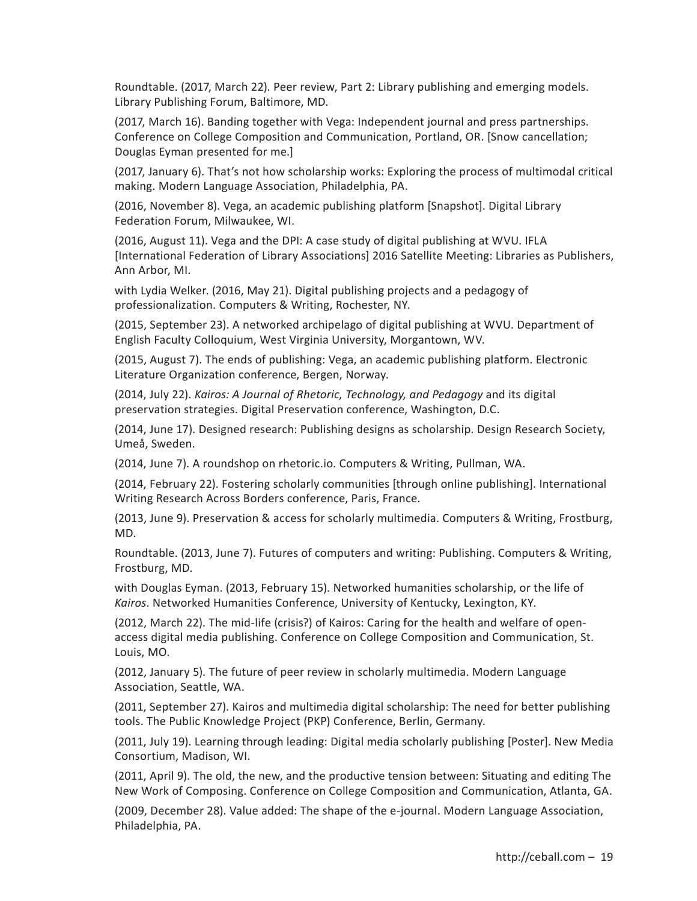Roundtable. (2017, March 22). Peer review, Part 2: Library publishing and emerging models. Library Publishing Forum, Baltimore, MD.

(2017, March 16). Banding together with Vega: Independent journal and press partnerships. Conference on College Composition and Communication, Portland, OR. [Snow cancellation; Douglas Eyman presented for me.]

(2017, January 6). That's not how scholarship works: Exploring the process of multimodal critical making. Modern Language Association, Philadelphia, PA.

(2016, November 8). Vega, an academic publishing platform [Snapshot]. Digital Library Federation Forum, Milwaukee, WI.

(2016, August 11). Vega and the DPI: A case study of digital publishing at WVU. IFLA [International Federation of Library Associations] 2016 Satellite Meeting: Libraries as Publishers, Ann Arbor, MI.

with Lydia Welker. (2016, May 21). Digital publishing projects and a pedagogy of professionalization. Computers & Writing, Rochester, NY.

(2015, September 23). A networked archipelago of digital publishing at WVU. Department of English Faculty Colloquium, West Virginia University, Morgantown, WV.

(2015, August 7). The ends of publishing: Vega, an academic publishing platform. Electronic Literature Organization conference, Bergen, Norway.

(2014, July 22). *Kairos: A Journal of Rhetoric, Technology, and Pedagogy* and its digital preservation strategies. Digital Preservation conference, Washington, D.C.

(2014, June 17). Designed research: Publishing designs as scholarship. Design Research Society, Umeå, Sweden.

(2014, June 7). A roundshop on rhetoric.io. Computers & Writing, Pullman, WA.

(2014, February 22). Fostering scholarly communities [through online publishing]. International Writing Research Across Borders conference, Paris, France.

(2013, June 9). Preservation & access for scholarly multimedia. Computers & Writing, Frostburg, MD.

Roundtable. (2013, June 7). Futures of computers and writing: Publishing. Computers & Writing, Frostburg, MD.

with Douglas Eyman. (2013, February 15). Networked humanities scholarship, or the life of *Kairos*. Networked Humanities Conference, University of Kentucky, Lexington, KY.

(2012, March 22). The mid-life (crisis?) of Kairos: Caring for the health and welfare of openaccess digital media publishing. Conference on College Composition and Communication, St. Louis, MO.

(2012, January 5). The future of peer review in scholarly multimedia. Modern Language Association, Seattle, WA.

(2011, September 27). Kairos and multimedia digital scholarship: The need for better publishing tools. The Public Knowledge Project (PKP) Conference, Berlin, Germany.

(2011, July 19). Learning through leading: Digital media scholarly publishing [Poster]. New Media Consortium, Madison, WI.

(2011, April 9). The old, the new, and the productive tension between: Situating and editing The New Work of Composing. Conference on College Composition and Communication, Atlanta, GA.

(2009, December 28). Value added: The shape of the e-journal. Modern Language Association, Philadelphia, PA.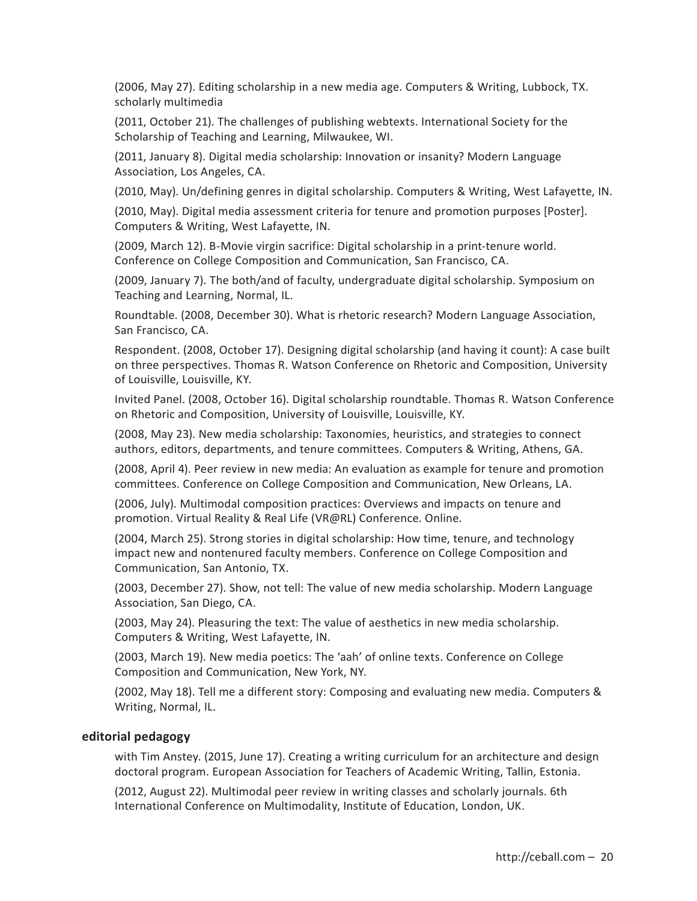(2006, May 27). Editing scholarship in a new media age. Computers & Writing, Lubbock, TX. scholarly multimedia

(2011, October 21). The challenges of publishing webtexts. International Society for the Scholarship of Teaching and Learning, Milwaukee, WI.

(2011, January 8). Digital media scholarship: Innovation or insanity? Modern Language Association, Los Angeles, CA.

(2010, May). Un/defining genres in digital scholarship. Computers & Writing, West Lafayette, IN.

(2010, May). Digital media assessment criteria for tenure and promotion purposes [Poster]. Computers & Writing, West Lafayette, IN.

(2009, March 12). B-Movie virgin sacrifice: Digital scholarship in a print-tenure world. Conference on College Composition and Communication, San Francisco, CA.

(2009, January 7). The both/and of faculty, undergraduate digital scholarship. Symposium on Teaching and Learning, Normal, IL.

Roundtable. (2008, December 30). What is rhetoric research? Modern Language Association, San Francisco, CA.

Respondent. (2008, October 17). Designing digital scholarship (and having it count): A case built on three perspectives. Thomas R. Watson Conference on Rhetoric and Composition, University of Louisville, Louisville, KY.

Invited Panel. (2008, October 16). Digital scholarship roundtable. Thomas R. Watson Conference on Rhetoric and Composition, University of Louisville, Louisville, KY.

(2008, May 23). New media scholarship: Taxonomies, heuristics, and strategies to connect authors, editors, departments, and tenure committees. Computers & Writing, Athens, GA.

(2008, April 4). Peer review in new media: An evaluation as example for tenure and promotion committees. Conference on College Composition and Communication, New Orleans, LA.

(2006, July). Multimodal composition practices: Overviews and impacts on tenure and promotion. Virtual Reality & Real Life (VR@RL) Conference. Online.

(2004, March 25). Strong stories in digital scholarship: How time, tenure, and technology impact new and nontenured faculty members. Conference on College Composition and Communication, San Antonio, TX.

(2003, December 27). Show, not tell: The value of new media scholarship. Modern Language Association, San Diego, CA.

(2003, May 24). Pleasuring the text: The value of aesthetics in new media scholarship. Computers & Writing, West Lafayette, IN.

(2003, March 19). New media poetics: The 'aah' of online texts. Conference on College Composition and Communication, New York, NY.

(2002, May 18). Tell me a different story: Composing and evaluating new media. Computers & Writing, Normal, IL.

#### **editorial pedagogy**

with Tim Anstey. (2015, June 17). Creating a writing curriculum for an architecture and design doctoral program. European Association for Teachers of Academic Writing, Tallin, Estonia.

(2012, August 22). Multimodal peer review in writing classes and scholarly journals. 6th International Conference on Multimodality, Institute of Education, London, UK.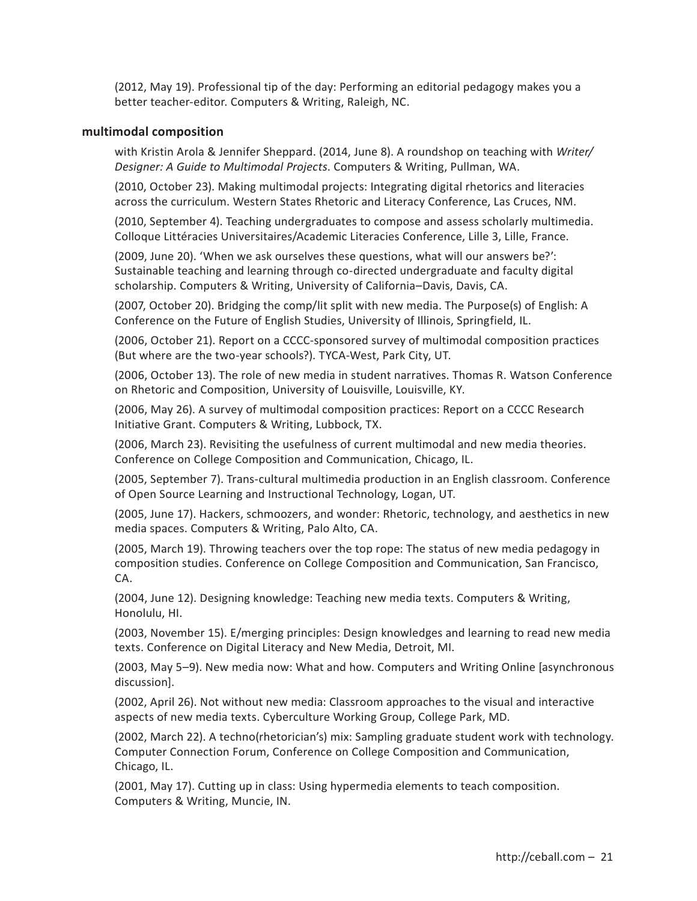(2012, May 19). Professional tip of the day: Performing an editorial pedagogy makes you a better teacher-editor. Computers & Writing, Raleigh, NC.

## **multimodal composition**

with Kristin Arola & Jennifer Sheppard. (2014, June 8). A roundshop on teaching with *Writer/ Designer: A Guide to Multimodal Projects*. Computers & Writing, Pullman, WA.

(2010, October 23). Making multimodal projects: Integrating digital rhetorics and literacies across the curriculum. Western States Rhetoric and Literacy Conference, Las Cruces, NM.

(2010, September 4). Teaching undergraduates to compose and assess scholarly multimedia. Colloque Littéracies Universitaires/Academic Literacies Conference, Lille 3, Lille, France.

(2009, June 20). 'When we ask ourselves these questions, what will our answers be?': Sustainable teaching and learning through co-directed undergraduate and faculty digital scholarship. Computers & Writing, University of California–Davis, Davis, CA.

(2007, October 20). Bridging the comp/lit split with new media. The Purpose(s) of English: A Conference on the Future of English Studies, University of Illinois, Springfield, IL.

(2006, October 21). Report on a CCCC-sponsored survey of multimodal composition practices (But where are the two-year schools?). TYCA-West, Park City, UT.

(2006, October 13). The role of new media in student narratives. Thomas R. Watson Conference on Rhetoric and Composition, University of Louisville, Louisville, KY.

(2006, May 26). A survey of multimodal composition practices: Report on a CCCC Research Initiative Grant. Computers & Writing, Lubbock, TX.

(2006, March 23). Revisiting the usefulness of current multimodal and new media theories. Conference on College Composition and Communication, Chicago, IL.

(2005, September 7). Trans-cultural multimedia production in an English classroom. Conference of Open Source Learning and Instructional Technology, Logan, UT.

(2005, June 17). Hackers, schmoozers, and wonder: Rhetoric, technology, and aesthetics in new media spaces. Computers & Writing, Palo Alto, CA.

(2005, March 19). Throwing teachers over the top rope: The status of new media pedagogy in composition studies. Conference on College Composition and Communication, San Francisco, CA.

(2004, June 12). Designing knowledge: Teaching new media texts. Computers & Writing, Honolulu, HI.

(2003, November 15). E/merging principles: Design knowledges and learning to read new media texts. Conference on Digital Literacy and New Media, Detroit, MI.

(2003, May 5–9). New media now: What and how. Computers and Writing Online [asynchronous discussion].

(2002, April 26). Not without new media: Classroom approaches to the visual and interactive aspects of new media texts. Cyberculture Working Group, College Park, MD.

(2002, March 22). A techno(rhetorician's) mix: Sampling graduate student work with technology. Computer Connection Forum, Conference on College Composition and Communication, Chicago, IL.

(2001, May 17). Cutting up in class: Using hypermedia elements to teach composition. Computers & Writing, Muncie, IN.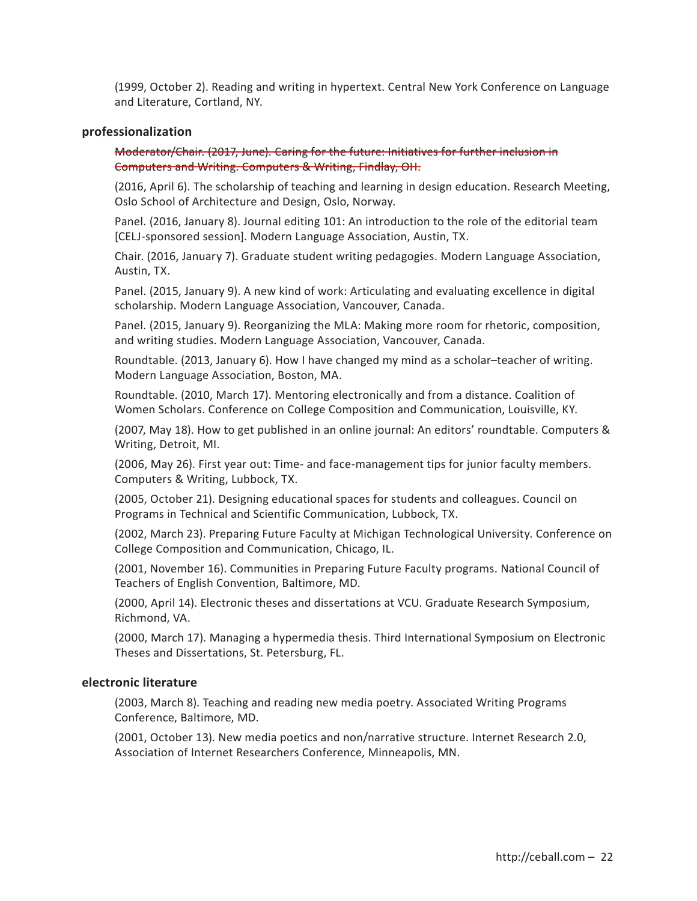(1999, October 2). Reading and writing in hypertext. Central New York Conference on Language and Literature, Cortland, NY.

#### **professionalization**

Moderator/Chair. (2017, June). Caring for the future: Initiatives for further inclusion in Computers and Writing. Computers & Writing, Findlay, OH.

(2016, April 6). The scholarship of teaching and learning in design education. Research Meeting, Oslo School of Architecture and Design, Oslo, Norway.

Panel. (2016, January 8). Journal editing 101: An introduction to the role of the editorial team [CELJ-sponsored session]. Modern Language Association, Austin, TX.

Chair. (2016, January 7). Graduate student writing pedagogies. Modern Language Association, Austin, TX.

Panel. (2015, January 9). A new kind of work: Articulating and evaluating excellence in digital scholarship. Modern Language Association, Vancouver, Canada.

Panel. (2015, January 9). Reorganizing the MLA: Making more room for rhetoric, composition, and writing studies. Modern Language Association, Vancouver, Canada.

Roundtable. (2013, January 6). How I have changed my mind as a scholar–teacher of writing. Modern Language Association, Boston, MA.

Roundtable. (2010, March 17). Mentoring electronically and from a distance. Coalition of Women Scholars. Conference on College Composition and Communication, Louisville, KY.

(2007, May 18). How to get published in an online journal: An editors' roundtable. Computers & Writing, Detroit, MI.

(2006, May 26). First year out: Time- and face-management tips for junior faculty members. Computers & Writing, Lubbock, TX.

(2005, October 21). Designing educational spaces for students and colleagues. Council on Programs in Technical and Scientific Communication, Lubbock, TX.

(2002, March 23). Preparing Future Faculty at Michigan Technological University. Conference on College Composition and Communication, Chicago, IL.

(2001, November 16). Communities in Preparing Future Faculty programs. National Council of Teachers of English Convention, Baltimore, MD.

(2000, April 14). Electronic theses and dissertations at VCU. Graduate Research Symposium, Richmond, VA.

(2000, March 17). Managing a hypermedia thesis. Third International Symposium on Electronic Theses and Dissertations, St. Petersburg, FL.

# **electronic literature**

(2003, March 8). Teaching and reading new media poetry. Associated Writing Programs Conference, Baltimore, MD.

(2001, October 13). New media poetics and non/narrative structure. Internet Research 2.0, Association of Internet Researchers Conference, Minneapolis, MN.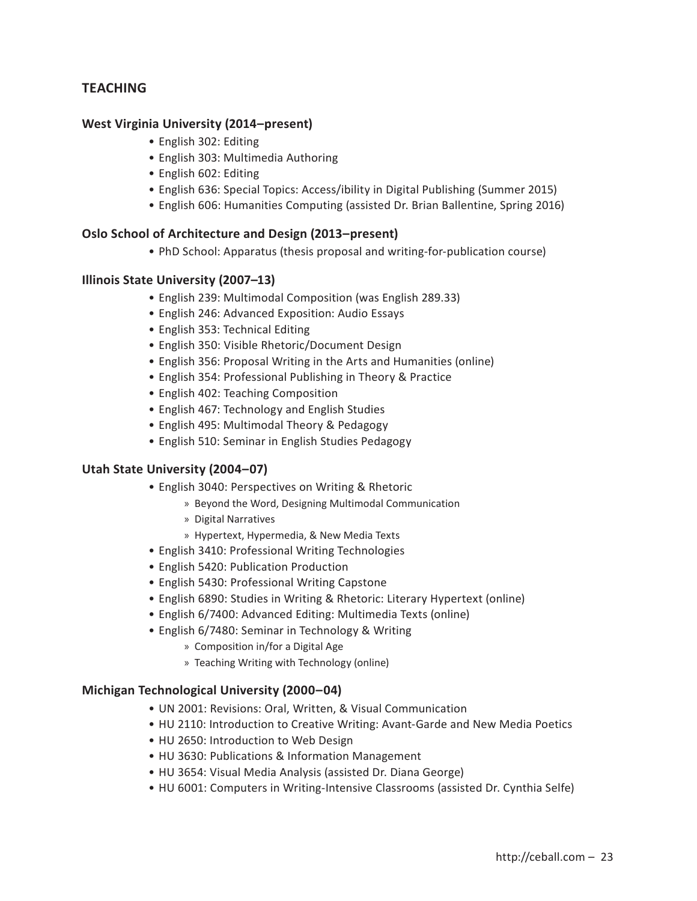# **TEACHING**

# **West Virginia University (2014–present)**

- English 302: Editing
- English 303: Multimedia Authoring
- English 602: Editing
- English 636: Special Topics: Access/ibility in Digital Publishing (Summer 2015)
- English 606: Humanities Computing (assisted Dr. Brian Ballentine, Spring 2016)

# **Oslo School of Architecture and Design (2013–present)**

• PhD School: Apparatus (thesis proposal and writing-for-publication course)

# **Illinois State University (2007–13)**

- English 239: Multimodal Composition (was English 289.33)
- English 246: Advanced Exposition: Audio Essays
- English 353: Technical Editing
- English 350: Visible Rhetoric/Document Design
- English 356: Proposal Writing in the Arts and Humanities (online)
- English 354: Professional Publishing in Theory & Practice
- English 402: Teaching Composition
- English 467: Technology and English Studies
- English 495: Multimodal Theory & Pedagogy
- English 510: Seminar in English Studies Pedagogy

# **Utah State University (2004–07)**

- English 3040: Perspectives on Writing & Rhetoric
	- » Beyond the Word, Designing Multimodal Communication
	- » Digital Narratives
	- » Hypertext, Hypermedia, & New Media Texts
- English 3410: Professional Writing Technologies
- English 5420: Publication Production
- English 5430: Professional Writing Capstone
- English 6890: Studies in Writing & Rhetoric: Literary Hypertext (online)
- English 6/7400: Advanced Editing: Multimedia Texts (online)
- English 6/7480: Seminar in Technology & Writing
	- » Composition in/for a Digital Age
	- » Teaching Writing with Technology (online)

# **Michigan Technological University (2000–04)**

- UN 2001: Revisions: Oral, Written, & Visual Communication
- HU 2110: Introduction to Creative Writing: Avant-Garde and New Media Poetics
- HU 2650: Introduction to Web Design
- HU 3630: Publications & Information Management
- HU 3654: Visual Media Analysis (assisted Dr. Diana George)
- HU 6001: Computers in Writing-Intensive Classrooms (assisted Dr. Cynthia Selfe)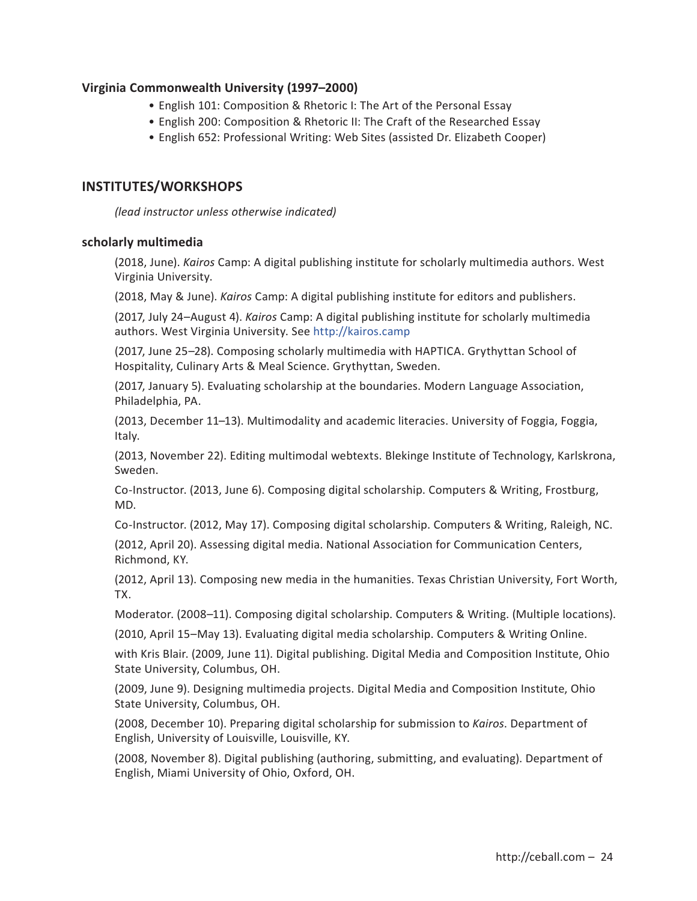# **Virginia Commonwealth University (1997–2000)**

- English 101: Composition & Rhetoric I: The Art of the Personal Essay
- English 200: Composition & Rhetoric II: The Craft of the Researched Essay
- English 652: Professional Writing: Web Sites (assisted Dr. Elizabeth Cooper)

# **INSTITUTES/WORKSHOPS**

*(lead instructor unless otherwise indicated)*

### **scholarly multimedia**

(2018, June). *Kairos* Camp: A digital publishing institute for scholarly multimedia authors. West Virginia University.

(2018, May & June). *Kairos* Camp: A digital publishing institute for editors and publishers.

(2017, July 24–August 4). *Kairos* Camp: A digital publishing institute for scholarly multimedia authors. West Virginia University. See http://kairos.camp

(2017, June 25–28). Composing scholarly multimedia with HAPTICA. Grythyttan School of Hospitality, Culinary Arts & Meal Science. Grythyttan, Sweden.

(2017, January 5). Evaluating scholarship at the boundaries. Modern Language Association, Philadelphia, PA.

(2013, December 11–13). Multimodality and academic literacies. University of Foggia, Foggia, Italy.

(2013, November 22). Editing multimodal webtexts. Blekinge Institute of Technology, Karlskrona, Sweden.

Co-Instructor. (2013, June 6). Composing digital scholarship. Computers & Writing, Frostburg, MD.

Co-Instructor. (2012, May 17). Composing digital scholarship. Computers & Writing, Raleigh, NC.

(2012, April 20). Assessing digital media. National Association for Communication Centers, Richmond, KY.

(2012, April 13). Composing new media in the humanities. Texas Christian University, Fort Worth, TX.

Moderator. (2008–11). Composing digital scholarship. Computers & Writing. (Multiple locations).

(2010, April 15–May 13). Evaluating digital media scholarship. Computers & Writing Online.

with Kris Blair. (2009, June 11). Digital publishing. Digital Media and Composition Institute, Ohio State University, Columbus, OH.

(2009, June 9). Designing multimedia projects. Digital Media and Composition Institute, Ohio State University, Columbus, OH.

(2008, December 10). Preparing digital scholarship for submission to *Kairos*. Department of English, University of Louisville, Louisville, KY.

(2008, November 8). Digital publishing (authoring, submitting, and evaluating). Department of English, Miami University of Ohio, Oxford, OH.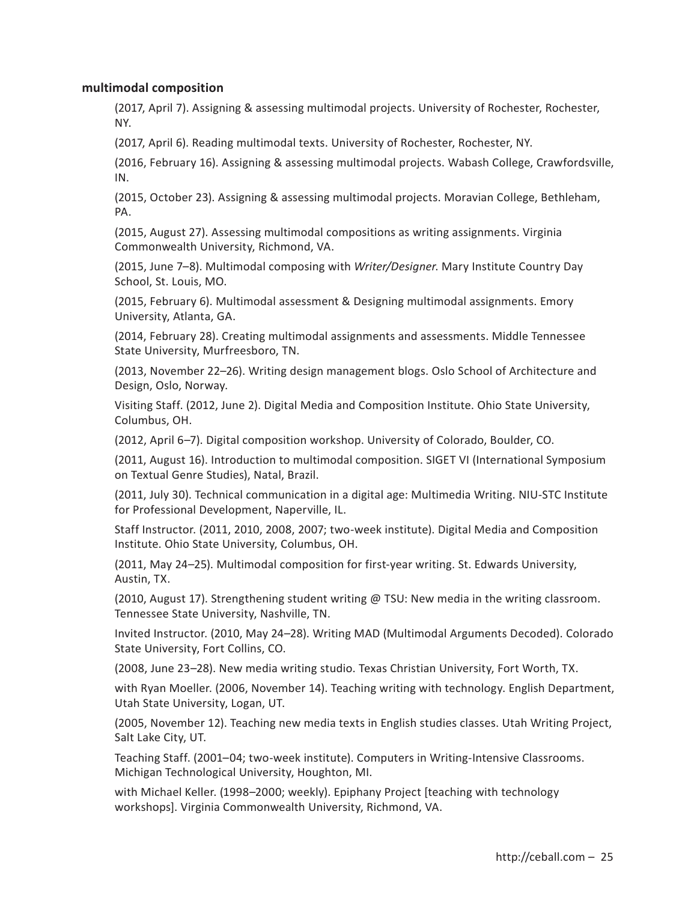## **multimodal composition**

(2017, April 7). Assigning & assessing multimodal projects. University of Rochester, Rochester, NY.

(2017, April 6). Reading multimodal texts. University of Rochester, Rochester, NY.

(2016, February 16). Assigning & assessing multimodal projects. Wabash College, Crawfordsville, IN.

(2015, October 23). Assigning & assessing multimodal projects. Moravian College, Bethleham, PA.

(2015, August 27). Assessing multimodal compositions as writing assignments. Virginia Commonwealth University, Richmond, VA.

(2015, June 7–8). Multimodal composing with *Writer/Designer*. Mary Institute Country Day School, St. Louis, MO.

(2015, February 6). Multimodal assessment & Designing multimodal assignments. Emory University, Atlanta, GA.

(2014, February 28). Creating multimodal assignments and assessments. Middle Tennessee State University, Murfreesboro, TN.

(2013, November 22–26). Writing design management blogs. Oslo School of Architecture and Design, Oslo, Norway.

Visiting Staff. (2012, June 2). Digital Media and Composition Institute. Ohio State University, Columbus, OH.

(2012, April 6–7). Digital composition workshop. University of Colorado, Boulder, CO.

(2011, August 16). Introduction to multimodal composition. SIGET VI (International Symposium on Textual Genre Studies), Natal, Brazil.

(2011, July 30). Technical communication in a digital age: Multimedia Writing. NIU-STC Institute for Professional Development, Naperville, IL.

Staff Instructor. (2011, 2010, 2008, 2007; two-week institute). Digital Media and Composition Institute. Ohio State University, Columbus, OH.

(2011, May 24–25). Multimodal composition for first-year writing. St. Edwards University, Austin, TX.

(2010, August 17). Strengthening student writing @ TSU: New media in the writing classroom. Tennessee State University, Nashville, TN.

Invited Instructor. (2010, May 24–28). Writing MAD (Multimodal Arguments Decoded). Colorado State University, Fort Collins, CO.

(2008, June 23–28). New media writing studio. Texas Christian University, Fort Worth, TX.

with Ryan Moeller. (2006, November 14). Teaching writing with technology. English Department, Utah State University, Logan, UT.

(2005, November 12). Teaching new media texts in English studies classes. Utah Writing Project, Salt Lake City, UT.

Teaching Staff. (2001–04; two-week institute). Computers in Writing-Intensive Classrooms. Michigan Technological University, Houghton, MI.

with Michael Keller. (1998–2000; weekly). Epiphany Project [teaching with technology workshops]. Virginia Commonwealth University, Richmond, VA.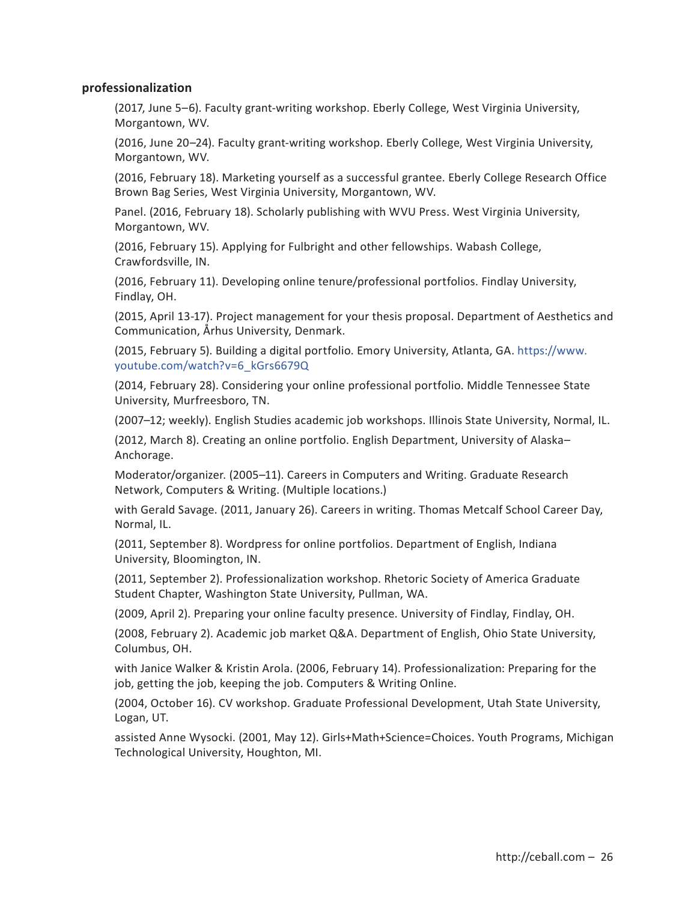# **professionalization**

(2017, June 5–6). Faculty grant-writing workshop. Eberly College, West Virginia University, Morgantown, WV.

(2016, June 20–24). Faculty grant-writing workshop. Eberly College, West Virginia University, Morgantown, WV.

(2016, February 18). Marketing yourself as a successful grantee. Eberly College Research Office Brown Bag Series, West Virginia University, Morgantown, WV.

Panel. (2016, February 18). Scholarly publishing with WVU Press. West Virginia University, Morgantown, WV.

(2016, February 15). Applying for Fulbright and other fellowships. Wabash College, Crawfordsville, IN.

(2016, February 11). Developing online tenure/professional portfolios. Findlay University, Findlay, OH.

(2015, April 13-17). Project management for your thesis proposal. Department of Aesthetics and Communication, Århus University, Denmark.

(2015, February 5). Building a digital portfolio. Emory University, Atlanta, GA. https://www. youtube.com/watch?v=6\_kGrs6679Q

(2014, February 28). Considering your online professional portfolio. Middle Tennessee State University, Murfreesboro, TN.

(2007–12; weekly). English Studies academic job workshops. Illinois State University, Normal, IL.

(2012, March 8). Creating an online portfolio. English Department, University of Alaska– Anchorage.

Moderator/organizer. (2005–11). Careers in Computers and Writing. Graduate Research Network, Computers & Writing. (Multiple locations.)

with Gerald Savage. (2011, January 26). Careers in writing. Thomas Metcalf School Career Day, Normal, IL.

(2011, September 8). Wordpress for online portfolios. Department of English, Indiana University, Bloomington, IN.

(2011, September 2). Professionalization workshop. Rhetoric Society of America Graduate Student Chapter, Washington State University, Pullman, WA.

(2009, April 2). Preparing your online faculty presence. University of Findlay, Findlay, OH.

(2008, February 2). Academic job market Q&A. Department of English, Ohio State University, Columbus, OH.

with Janice Walker & Kristin Arola. (2006, February 14). Professionalization: Preparing for the job, getting the job, keeping the job. Computers & Writing Online.

(2004, October 16). CV workshop. Graduate Professional Development, Utah State University, Logan, UT.

assisted Anne Wysocki. (2001, May 12). Girls+Math+Science=Choices. Youth Programs, Michigan Technological University, Houghton, MI.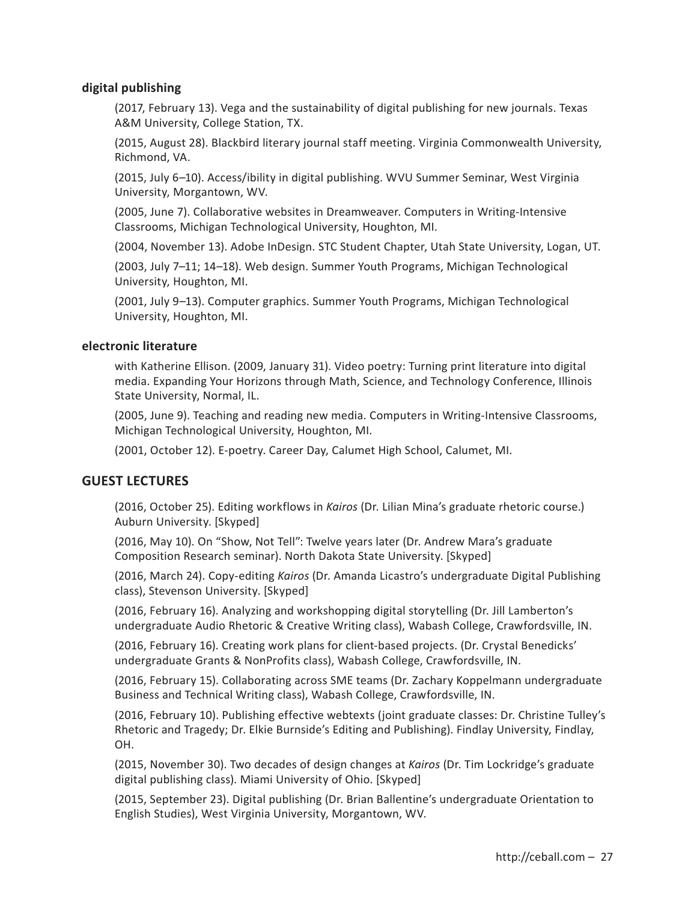# **digital publishing**

(2017, February 13). Vega and the sustainability of digital publishing for new journals. Texas A&M University, College Station, TX.

(2015, August 28). Blackbird literary journal staff meeting. Virginia Commonwealth University, Richmond, VA.

(2015, July 6–10). Access/ibility in digital publishing. WVU Summer Seminar, West Virginia University, Morgantown, WV.

(2005, June 7). Collaborative websites in Dreamweaver. Computers in Writing-Intensive Classrooms, Michigan Technological University, Houghton, MI.

(2004, November 13). Adobe InDesign. STC Student Chapter, Utah State University, Logan, UT.

(2003, July 7–11; 14–18). Web design. Summer Youth Programs, Michigan Technological University, Houghton, MI.

(2001, July 9–13). Computer graphics. Summer Youth Programs, Michigan Technological University, Houghton, MI.

# **electronic literature**

with Katherine Ellison. (2009, January 31). Video poetry: Turning print literature into digital media. Expanding Your Horizons through Math, Science, and Technology Conference, Illinois State University, Normal, IL.

(2005, June 9). Teaching and reading new media. Computers in Writing-Intensive Classrooms, Michigan Technological University, Houghton, MI.

(2001, October 12). E-poetry. Career Day, Calumet High School, Calumet, MI.

# **GUEST LECTURES**

(2016, October 25). Editing workflows in *Kairos* (Dr. Lilian Mina's graduate rhetoric course.) Auburn University. [Skyped]

(2016, May 10). On "Show, Not Tell": Twelve years later (Dr. Andrew Mara's graduate Composition Research seminar). North Dakota State University. [Skyped]

(2016, March 24). Copy-editing *Kairos* (Dr. Amanda Licastro's undergraduate Digital Publishing class), Stevenson University. [Skyped]

(2016, February 16). Analyzing and workshopping digital storytelling (Dr. Jill Lamberton's undergraduate Audio Rhetoric & Creative Writing class), Wabash College, Crawfordsville, IN.

(2016, February 16). Creating work plans for client-based projects. (Dr. Crystal Benedicks' undergraduate Grants & NonProfits class), Wabash College, Crawfordsville, IN.

(2016, February 15). Collaborating across SME teams (Dr. Zachary Koppelmann undergraduate Business and Technical Writing class), Wabash College, Crawfordsville, IN.

(2016, February 10). Publishing effective webtexts (joint graduate classes: Dr. Christine Tulley's Rhetoric and Tragedy; Dr. Elkie Burnside's Editing and Publishing). Findlay University, Findlay, OH.

(2015, November 30). Two decades of design changes at *Kairos* (Dr. Tim Lockridge's graduate digital publishing class). Miami University of Ohio. [Skyped]

(2015, September 23). Digital publishing (Dr. Brian Ballentine's undergraduate Orientation to English Studies), West Virginia University, Morgantown, WV.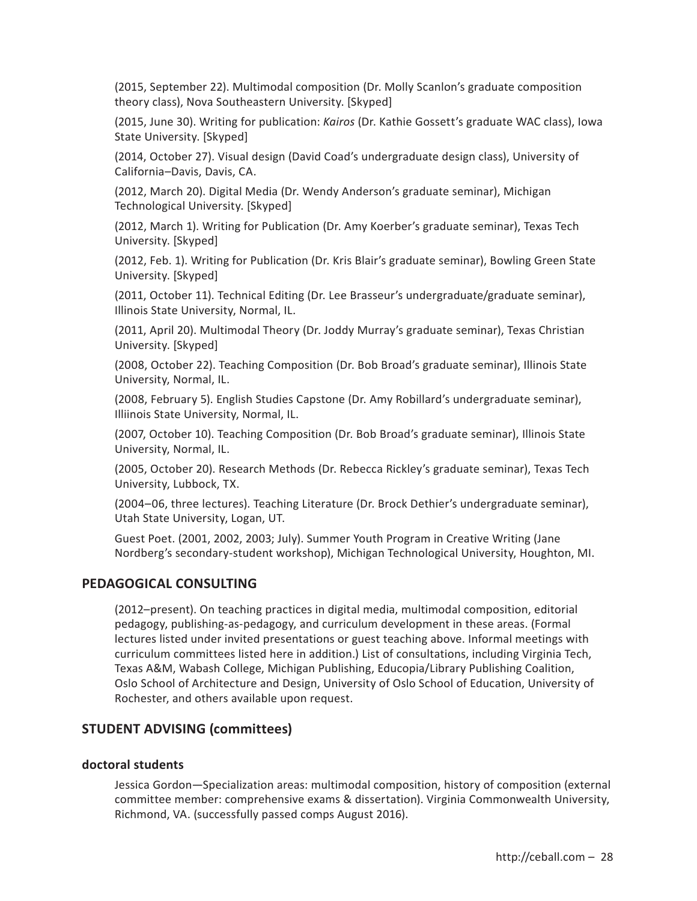(2015, September 22). Multimodal composition (Dr. Molly Scanlon's graduate composition theory class), Nova Southeastern University. [Skyped]

(2015, June 30). Writing for publication: *Kairos* (Dr. Kathie Gossett's graduate WAC class), Iowa State University. [Skyped]

(2014, October 27). Visual design (David Coad's undergraduate design class), University of California–Davis, Davis, CA.

(2012, March 20). Digital Media (Dr. Wendy Anderson's graduate seminar), Michigan Technological University. [Skyped]

(2012, March 1). Writing for Publication (Dr. Amy Koerber's graduate seminar), Texas Tech University. [Skyped]

(2012, Feb. 1). Writing for Publication (Dr. Kris Blair's graduate seminar), Bowling Green State University. [Skyped]

(2011, October 11). Technical Editing (Dr. Lee Brasseur's undergraduate/graduate seminar), Illinois State University, Normal, IL.

(2011, April 20). Multimodal Theory (Dr. Joddy Murray's graduate seminar), Texas Christian University. [Skyped]

(2008, October 22). Teaching Composition (Dr. Bob Broad's graduate seminar), Illinois State University, Normal, IL.

(2008, February 5). English Studies Capstone (Dr. Amy Robillard's undergraduate seminar), Illiinois State University, Normal, IL.

(2007, October 10). Teaching Composition (Dr. Bob Broad's graduate seminar), Illinois State University, Normal, IL.

(2005, October 20). Research Methods (Dr. Rebecca Rickley's graduate seminar), Texas Tech University, Lubbock, TX.

(2004–06, three lectures). Teaching Literature (Dr. Brock Dethier's undergraduate seminar), Utah State University, Logan, UT.

Guest Poet. (2001, 2002, 2003; July). Summer Youth Program in Creative Writing (Jane Nordberg's secondary-student workshop), Michigan Technological University, Houghton, MI.

# **PEDAGOGICAL CONSULTING**

(2012–present). On teaching practices in digital media, multimodal composition, editorial pedagogy, publishing-as-pedagogy, and curriculum development in these areas. (Formal lectures listed under invited presentations or guest teaching above. Informal meetings with curriculum committees listed here in addition.) List of consultations, including Virginia Tech, Texas A&M, Wabash College, Michigan Publishing, Educopia/Library Publishing Coalition, Oslo School of Architecture and Design, University of Oslo School of Education, University of Rochester, and others available upon request.

# **STUDENT ADVISING (committees)**

#### **doctoral students**

Jessica Gordon—Specialization areas: multimodal composition, history of composition (external committee member: comprehensive exams & dissertation). Virginia Commonwealth University, Richmond, VA. (successfully passed comps August 2016).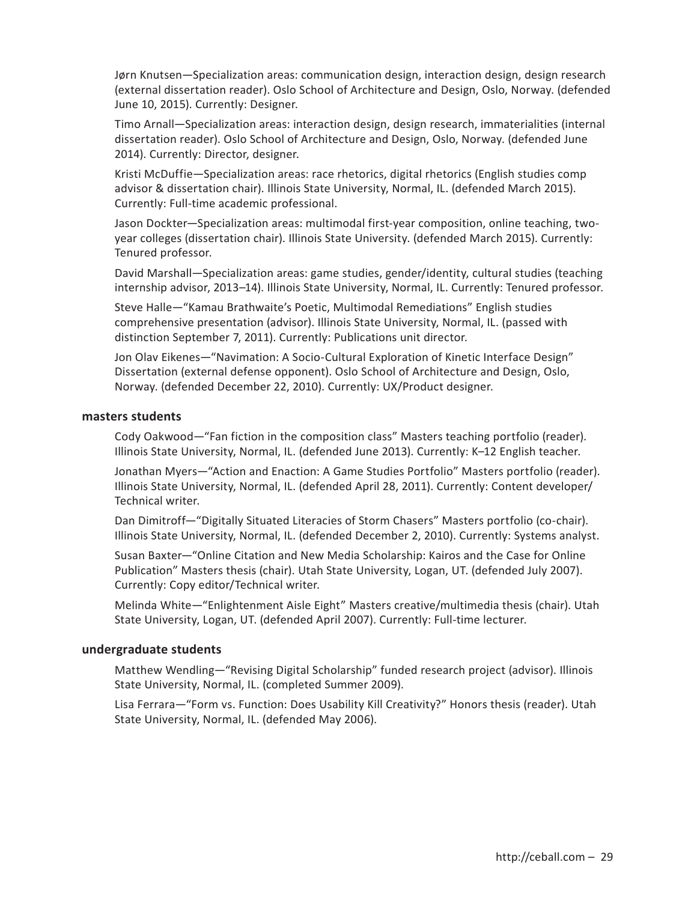Jørn Knutsen—Specialization areas: communication design, interaction design, design research (external dissertation reader). Oslo School of Architecture and Design, Oslo, Norway. (defended June 10, 2015). Currently: Designer.

Timo Arnall—Specialization areas: interaction design, design research, immaterialities (internal dissertation reader). Oslo School of Architecture and Design, Oslo, Norway. (defended June 2014). Currently: Director, designer.

Kristi McDuffie—Specialization areas: race rhetorics, digital rhetorics (English studies comp advisor & dissertation chair). Illinois State University, Normal, IL. (defended March 2015). Currently: Full-time academic professional.

Jason Dockter—Specialization areas: multimodal first-year composition, online teaching, twoyear colleges (dissertation chair). Illinois State University. (defended March 2015). Currently: Tenured professor.

David Marshall—Specialization areas: game studies, gender/identity, cultural studies (teaching internship advisor, 2013–14). Illinois State University, Normal, IL. Currently: Tenured professor.

Steve Halle—"Kamau Brathwaite's Poetic, Multimodal Remediations" English studies comprehensive presentation (advisor). Illinois State University, Normal, IL. (passed with distinction September 7, 2011). Currently: Publications unit director.

Jon Olav Eikenes—"Navimation: A Socio-Cultural Exploration of Kinetic Interface Design" Dissertation (external defense opponent). Oslo School of Architecture and Design, Oslo, Norway. (defended December 22, 2010). Currently: UX/Product designer.

#### **masters students**

Cody Oakwood—"Fan fiction in the composition class" Masters teaching portfolio (reader). Illinois State University, Normal, IL. (defended June 2013). Currently: K–12 English teacher.

Jonathan Myers—"Action and Enaction: A Game Studies Portfolio" Masters portfolio (reader). Illinois State University, Normal, IL. (defended April 28, 2011). Currently: Content developer/ Technical writer.

Dan Dimitroff—"Digitally Situated Literacies of Storm Chasers" Masters portfolio (co-chair). Illinois State University, Normal, IL. (defended December 2, 2010). Currently: Systems analyst.

Susan Baxter—"Online Citation and New Media Scholarship: Kairos and the Case for Online Publication" Masters thesis (chair). Utah State University, Logan, UT. (defended July 2007). Currently: Copy editor/Technical writer.

Melinda White—"Enlightenment Aisle Eight" Masters creative/multimedia thesis (chair). Utah State University, Logan, UT. (defended April 2007). Currently: Full-time lecturer.

#### **undergraduate students**

Matthew Wendling—"Revising Digital Scholarship" funded research project (advisor). Illinois State University, Normal, IL. (completed Summer 2009).

Lisa Ferrara—"Form vs. Function: Does Usability Kill Creativity?" Honors thesis (reader). Utah State University, Normal, IL. (defended May 2006).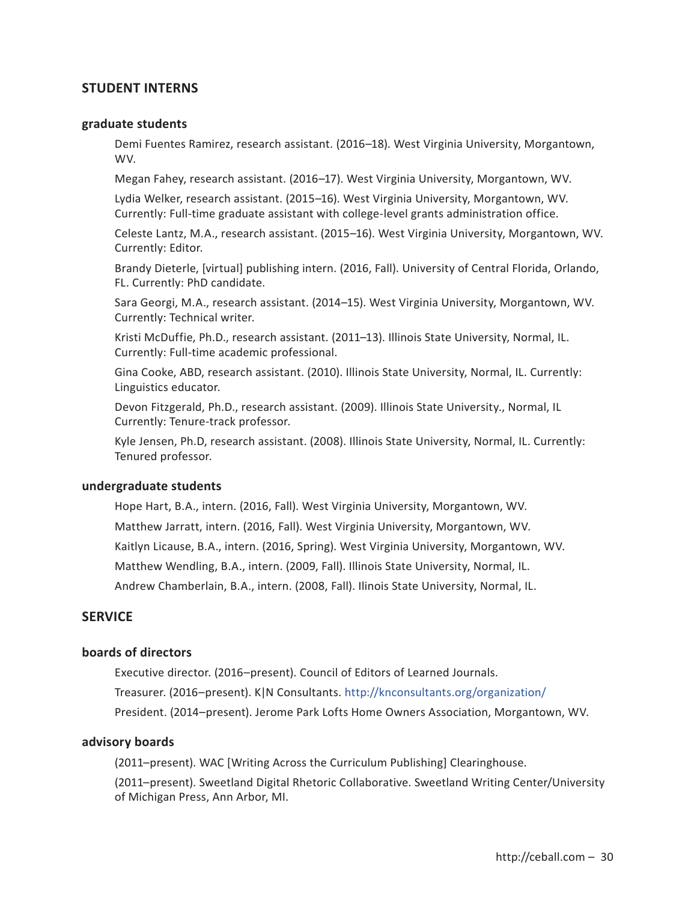# **STUDENT INTERNS**

#### **graduate students**

Demi Fuentes Ramirez, research assistant. (2016–18). West Virginia University, Morgantown, WV.

Megan Fahey, research assistant. (2016–17). West Virginia University, Morgantown, WV.

Lydia Welker, research assistant. (2015–16). West Virginia University, Morgantown, WV. Currently: Full-time graduate assistant with college-level grants administration office.

Celeste Lantz, M.A., research assistant. (2015–16). West Virginia University, Morgantown, WV. Currently: Editor.

Brandy Dieterle, [virtual] publishing intern. (2016, Fall). University of Central Florida, Orlando, FL. Currently: PhD candidate.

Sara Georgi, M.A., research assistant. (2014–15). West Virginia University, Morgantown, WV. Currently: Technical writer.

Kristi McDuffie, Ph.D., research assistant. (2011–13). Illinois State University, Normal, IL. Currently: Full-time academic professional.

Gina Cooke, ABD, research assistant. (2010). Illinois State University, Normal, IL. Currently: Linguistics educator.

Devon Fitzgerald, Ph.D., research assistant. (2009). Illinois State University., Normal, IL Currently: Tenure-track professor.

Kyle Jensen, Ph.D, research assistant. (2008). Illinois State University, Normal, IL. Currently: Tenured professor.

#### **undergraduate students**

Hope Hart, B.A., intern. (2016, Fall). West Virginia University, Morgantown, WV. Matthew Jarratt, intern. (2016, Fall). West Virginia University, Morgantown, WV. Kaitlyn Licause, B.A., intern. (2016, Spring). West Virginia University, Morgantown, WV. Matthew Wendling, B.A., intern. (2009, Fall). Illinois State University, Normal, IL. Andrew Chamberlain, B.A., intern. (2008, Fall). Ilinois State University, Normal, IL.

# **SERVICE**

#### **boards of directors**

Executive director. (2016–present). Council of Editors of Learned Journals. Treasurer. (2016–present). K|N Consultants. http://knconsultants.org/organization/ President. (2014–present). Jerome Park Lofts Home Owners Association, Morgantown, WV.

## **advisory boards**

(2011–present). WAC [Writing Across the Curriculum Publishing] Clearinghouse.

(2011–present). Sweetland Digital Rhetoric Collaborative. Sweetland Writing Center/University of Michigan Press, Ann Arbor, MI.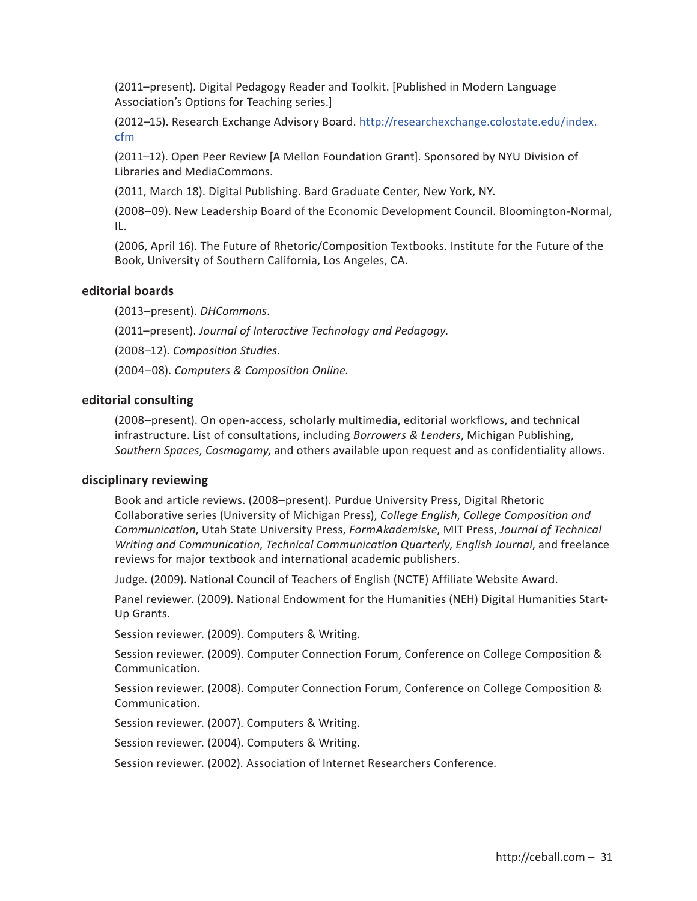(2011–present). Digital Pedagogy Reader and Toolkit. [Published in Modern Language Association's Options for Teaching series.]

(2012–15). Research Exchange Advisory Board. http://researchexchange.colostate.edu/index. cfm

(2011–12). Open Peer Review [A Mellon Foundation Grant]. Sponsored by NYU Division of Libraries and MediaCommons.

(2011, March 18). Digital Publishing. Bard Graduate Center, New York, NY.

(2008–09). New Leadership Board of the Economic Development Council. Bloomington-Normal, IL.

(2006, April 16). The Future of Rhetoric/Composition Textbooks. Institute for the Future of the Book, University of Southern California, Los Angeles, CA.

### **editorial boards**

(2013–present). *DHCommons*.

(2011–present). *Journal of Interactive Technology and Pedagogy*.

(2008–12). *Composition Studies*.

(2004–08). *Computers & Composition Online.*

#### **editorial consulting**

(2008–present). On open-access, scholarly multimedia, editorial workflows, and technical infrastructure. List of consultations, including *Borrowers & Lenders*, Michigan Publishing, *Southern Spaces*, *Cosmogamy*, and others available upon request and as confidentiality allows.

#### **disciplinary reviewing**

Book and article reviews. (2008–present). Purdue University Press, Digital Rhetoric Collaborative series (University of Michigan Press), *College English*, *College Composition and Communication*, Utah State University Press, *FormAkademiske*, MIT Press, *Journal of Technical Writing and Communication*, *Technical Communication Quarterly*, *English Journal*, and freelance reviews for major textbook and international academic publishers.

Judge. (2009). National Council of Teachers of English (NCTE) Affiliate Website Award.

Panel reviewer. (2009). National Endowment for the Humanities (NEH) Digital Humanities Start-Up Grants.

Session reviewer. (2009). Computers & Writing.

Session reviewer. (2009). Computer Connection Forum, Conference on College Composition & Communication.

Session reviewer. (2008). Computer Connection Forum, Conference on College Composition & Communication.

Session reviewer. (2007). Computers & Writing.

Session reviewer. (2004). Computers & Writing.

Session reviewer. (2002). Association of Internet Researchers Conference.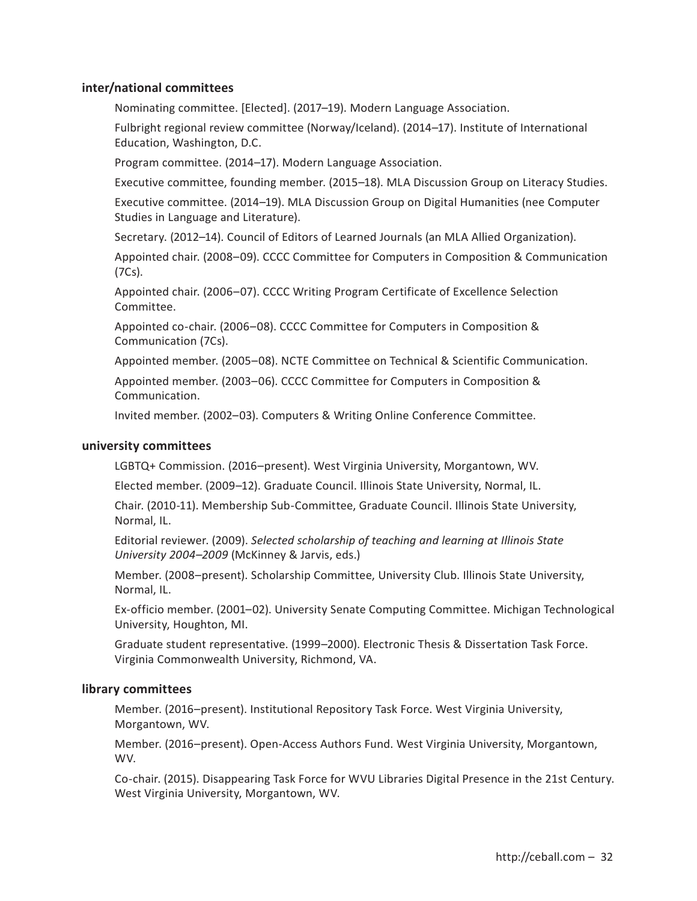# **inter/national committees**

Nominating committee. [Elected]. (2017–19). Modern Language Association.

Fulbright regional review committee (Norway/Iceland). (2014–17). Institute of International Education, Washington, D.C.

Program committee. (2014–17). Modern Language Association.

Executive committee, founding member. (2015–18). MLA Discussion Group on Literacy Studies.

Executive committee. (2014–19). MLA Discussion Group on Digital Humanities (nee Computer Studies in Language and Literature).

Secretary. (2012–14). Council of Editors of Learned Journals (an MLA Allied Organization).

Appointed chair. (2008–09). CCCC Committee for Computers in Composition & Communication (7Cs).

Appointed chair. (2006–07). CCCC Writing Program Certificate of Excellence Selection Committee.

Appointed co-chair. (2006–08). CCCC Committee for Computers in Composition & Communication (7Cs).

Appointed member. (2005–08). NCTE Committee on Technical & Scientific Communication.

Appointed member. (2003–06). CCCC Committee for Computers in Composition & Communication.

Invited member. (2002–03). Computers & Writing Online Conference Committee.

### **university committees**

LGBTQ+ Commission. (2016–present). West Virginia University, Morgantown, WV.

Elected member. (2009–12). Graduate Council. Illinois State University, Normal, IL.

Chair. (2010-11). Membership Sub-Committee, Graduate Council. Illinois State University, Normal, IL.

Editorial reviewer. (2009). *Selected scholarship of teaching and learning at Illinois State University 2004–2009* (McKinney & Jarvis, eds.)

Member. (2008–present). Scholarship Committee, University Club. Illinois State University, Normal, IL.

Ex-officio member. (2001–02). University Senate Computing Committee. Michigan Technological University, Houghton, MI.

Graduate student representative. (1999–2000). Electronic Thesis & Dissertation Task Force. Virginia Commonwealth University, Richmond, VA.

# **library committees**

Member. (2016–present). Institutional Repository Task Force. West Virginia University, Morgantown, WV.

Member. (2016–present). Open-Access Authors Fund. West Virginia University, Morgantown, WV.

Co-chair. (2015). Disappearing Task Force for WVU Libraries Digital Presence in the 21st Century. West Virginia University, Morgantown, WV.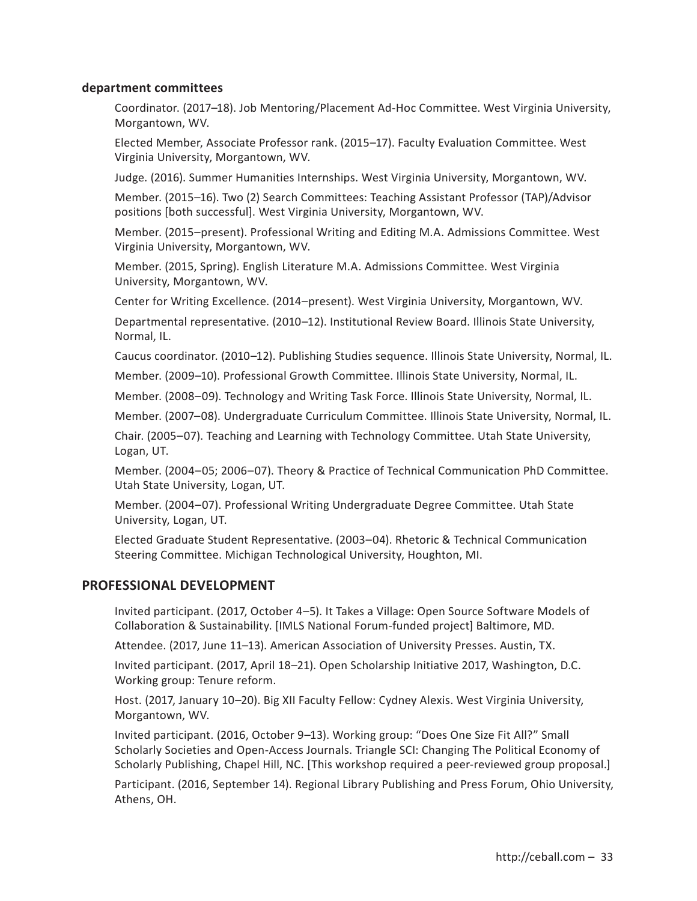# **department committees**

Coordinator. (2017–18). Job Mentoring/Placement Ad-Hoc Committee. West Virginia University, Morgantown, WV.

Elected Member, Associate Professor rank. (2015–17). Faculty Evaluation Committee. West Virginia University, Morgantown, WV.

Judge. (2016). Summer Humanities Internships. West Virginia University, Morgantown, WV.

Member. (2015–16). Two (2) Search Committees: Teaching Assistant Professor (TAP)/Advisor positions [both successful]. West Virginia University, Morgantown, WV.

Member. (2015–present). Professional Writing and Editing M.A. Admissions Committee. West Virginia University, Morgantown, WV.

Member. (2015, Spring). English Literature M.A. Admissions Committee. West Virginia University, Morgantown, WV.

Center for Writing Excellence. (2014–present). West Virginia University, Morgantown, WV.

Departmental representative. (2010–12). Institutional Review Board. Illinois State University, Normal, IL.

Caucus coordinator. (2010–12). Publishing Studies sequence. Illinois State University, Normal, IL.

Member. (2009–10). Professional Growth Committee. Illinois State University, Normal, IL.

Member. (2008–09). Technology and Writing Task Force. Illinois State University, Normal, IL.

Member. (2007–08). Undergraduate Curriculum Committee. Illinois State University, Normal, IL.

Chair. (2005–07). Teaching and Learning with Technology Committee. Utah State University, Logan, UT.

Member. (2004–05; 2006–07). Theory & Practice of Technical Communication PhD Committee. Utah State University, Logan, UT.

Member. (2004–07). Professional Writing Undergraduate Degree Committee. Utah State University, Logan, UT.

Elected Graduate Student Representative. (2003–04). Rhetoric & Technical Communication Steering Committee. Michigan Technological University, Houghton, MI.

# **PROFESSIONAL DEVELOPMENT**

Invited participant. (2017, October 4–5). It Takes a Village: Open Source Software Models of Collaboration & Sustainability. [IMLS National Forum-funded project] Baltimore, MD.

Attendee. (2017, June 11–13). American Association of University Presses. Austin, TX.

Invited participant. (2017, April 18–21). Open Scholarship Initiative 2017, Washington, D.C. Working group: Tenure reform.

Host. (2017, January 10–20). Big XII Faculty Fellow: Cydney Alexis. West Virginia University, Morgantown, WV.

Invited participant. (2016, October 9–13). Working group: "Does One Size Fit All?" Small Scholarly Societies and Open-Access Journals. Triangle SCI: Changing The Political Economy of Scholarly Publishing, Chapel Hill, NC. [This workshop required a peer-reviewed group proposal.]

Participant. (2016, September 14). Regional Library Publishing and Press Forum, Ohio University, Athens, OH.